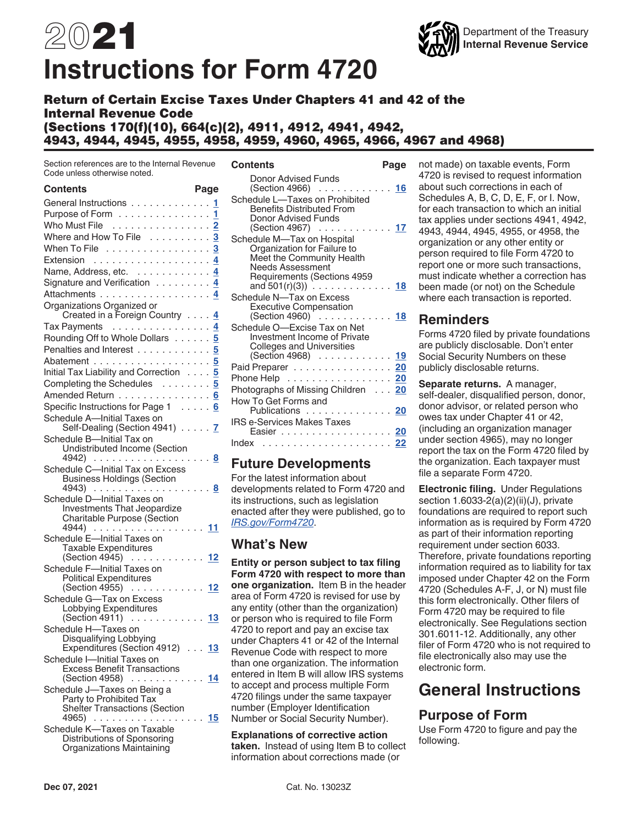# 2021 **Instructions for Form 4720**



Return of Certain Excise Taxes Under Chapters 41 and 42 of the Internal Revenue Code (Sections 170(f)(10), 664(c)(2), 4911, 4912, 4941, 4942, 4943, 4944, 4945, 4955, 4958, 4959, 4960, 4965, 4966, 4967 and 4968)

Section references are to the Internal Revenue Code unless otherwise noted.

| <b>Contents</b>                                                       | Page           |
|-----------------------------------------------------------------------|----------------|
| General Instructions 1                                                |                |
| Purpose of Form                                                       | 1              |
| Who Must File                                                         | $\overline{2}$ |
| Where and How To File                                                 | 3              |
| When To File 3                                                        |                |
| Extension                                                             |                |
|                                                                       |                |
| Name, Address, etc. 4                                                 |                |
| Signature and Verification 4                                          |                |
| Attachments 4                                                         |                |
| Organizations Organized or<br>Created in a Foreign Country 4          |                |
| Tax Payments 4                                                        |                |
| Rounding Off to Whole Dollars                                         | 5              |
| Penalties and Interest 5                                              |                |
|                                                                       |                |
| Initial Tax Liability and Correction 5                                |                |
| Completing the Schedules 5                                            |                |
|                                                                       |                |
| Amended Return 6                                                      |                |
| Specific Instructions for Page 1 6                                    |                |
| Schedule A-Initial Taxes on                                           |                |
| Self-Dealing (Section 4941) 7                                         |                |
| Schedule B-Initial Tax on                                             |                |
| Undistributed Income (Section<br>$4942)$                              |                |
|                                                                       | 8              |
| Schedule C-Initial Tax on Excess<br><b>Business Holdings (Section</b> | 8              |
| Schedule D-Initial Taxes on                                           |                |
| Investments That Jeopardize                                           |                |
| Charitable Purpose (Section                                           |                |
| 4944)                                                                 | 11             |
| Schedule E-Initial Taxes on                                           |                |
| Taxable Expenditures                                                  |                |
| $(Section 4945)$                                                      | 12             |
| Schedule F-Initial Taxes on                                           |                |
| <b>Political Expenditures</b>                                         |                |
| (Section 4955) 12                                                     |                |
| Schedule G-Tax on Excess                                              |                |
| Lobbying Expenditures                                                 |                |
| $(Section 4911) \dots \dots \dots$                                    | 13             |
| Schedule H-Taxes on                                                   |                |
| Disqualifying Lobbying                                                |                |
| Expenditures (Section 4912)  13                                       |                |
| Schedule I-Initial Taxes on                                           |                |
| <b>Excess Benefit Transactions</b>                                    |                |
| (Section 4958)<br>. <u>14</u>                                         |                |
| Schedule J-Taxes on Being a                                           |                |
| Party to Prohibited Tax<br><b>Shelter Transactions (Section</b>       |                |
| 4965)                                                                 | . 15           |
| Schedule K-Taxes on Taxable                                           |                |
| Distributions of Sponsoring                                           |                |
| Organizations Maintaining                                             |                |

| Page                               |
|------------------------------------|
| (Section 4966) 16                  |
| (Section 4967) 17                  |
|                                    |
| and $501(r)(3)$ 18                 |
| (Section 4960) 18                  |
|                                    |
| (Section 4968) 19                  |
| Paid Preparer <u>20</u>            |
| Phone Help 20                      |
| Photographs of Missing Children 20 |
| Publications 20                    |
| Easier <u>20</u>                   |
|                                    |
|                                    |

### **Future Developments**

For the latest information about developments related to Form 4720 and its instructions, such as legislation enacted after they were published, go to *[IRS.gov/Form4720](https://www.irs.gov/form4720)*.

### **What's New**

**Entity or person subject to tax filing Form 4720 with respect to more than one organization.** Item B in the header area of Form 4720 is revised for use by any entity (other than the organization) or person who is required to file Form 4720 to report and pay an excise tax under Chapters 41 or 42 of the Internal Revenue Code with respect to more than one organization. The information entered in Item B will allow IRS systems to accept and process multiple Form 4720 filings under the same taxpayer number (Employer Identification Number or Social Security Number).

**Explanations of corrective action taken.** Instead of using Item B to collect information about corrections made (or

not made) on taxable events, Form 4720 is revised to request information about such corrections in each of Schedules A, B, C, D, E, F, or I. Now, for each transaction to which an initial tax applies under sections 4941, 4942, 4943, 4944, 4945, 4955, or 4958, the organization or any other entity or person required to file Form 4720 to report one or more such transactions, must indicate whether a correction has been made (or not) on the Schedule where each transaction is reported.

### **Reminders**

Forms 4720 filed by private foundations are publicly disclosable. Don't enter Social Security Numbers on these publicly disclosable returns.

**Separate returns.** A manager, self-dealer, disqualified person, donor, donor advisor, or related person who owes tax under Chapter 41 or 42, (including an organization manager under section 4965), may no longer report the tax on the Form 4720 filed by the organization. Each taxpayer must file a separate Form 4720.

**Electronic filing.** Under Regulations section 1.6033-2(a)(2)(ii)(J), private foundations are required to report such information as is required by Form 4720 as part of their information reporting requirement under section 6033. Therefore, private foundations reporting information required as to liability for tax imposed under Chapter 42 on the Form 4720 (Schedules A-F, J, or N) must file this form electronically. Other filers of Form 4720 may be required to file electronically. See Regulations section 301.6011-12. Additionally, any other filer of Form 4720 who is not required to file electronically also may use the electronic form.

## **General Instructions**

### **Purpose of Form**

Use Form 4720 to figure and pay the following.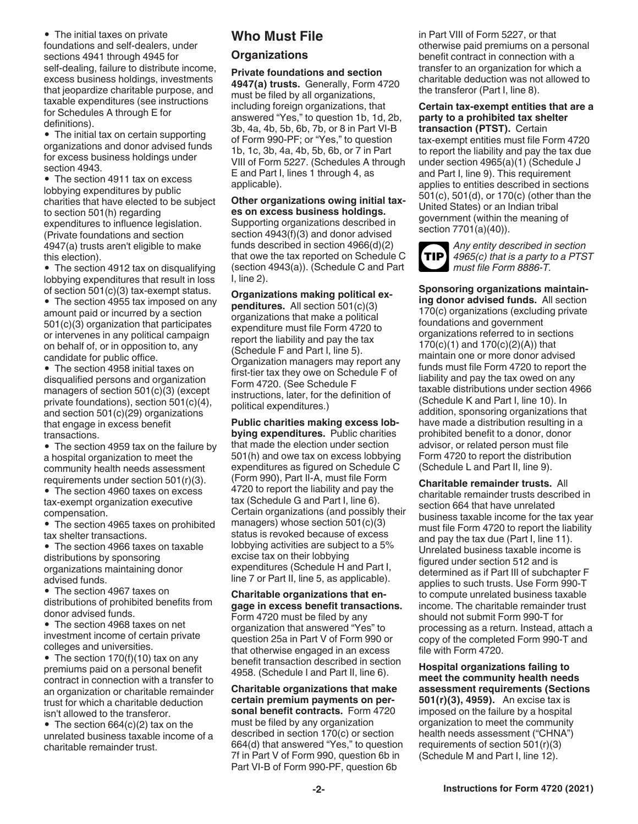<span id="page-1-0"></span>• The initial taxes on private foundations and self-dealers, under sections 4941 through 4945 for self-dealing, failure to distribute income, excess business holdings, investments that jeopardize charitable purpose, and taxable expenditures (see instructions for Schedules A through E for definitions).

• The initial tax on certain supporting organizations and donor advised funds for excess business holdings under section 4943.

• The section 4911 tax on excess lobbying expenditures by public charities that have elected to be subject to section 501(h) regarding expenditures to influence legislation. (Private foundations and section 4947(a) trusts aren't eligible to make this election).

• The section 4912 tax on disqualifying lobbying expenditures that result in loss of section 501(c)(3) tax-exempt status.

• The section 4955 tax imposed on any amount paid or incurred by a section 501(c)(3) organization that participates or intervenes in any political campaign on behalf of, or in opposition to, any candidate for public office.

• The section 4958 initial taxes on disqualified persons and organization managers of section 501(c)(3) (except private foundations), section 501(c)(4), and section 501(c)(29) organizations that engage in excess benefit transactions.

• The section 4959 tax on the failure by a hospital organization to meet the community health needs assessment requirements under section 501(r)(3).

• The section 4960 taxes on excess tax-exempt organization executive compensation.

• The section 4965 taxes on prohibited tax shelter transactions.

• The section 4966 taxes on taxable distributions by sponsoring organizations maintaining donor advised funds.

• The section 4967 taxes on distributions of prohibited benefits from donor advised funds.

• The section 4968 taxes on net investment income of certain private colleges and universities.

• The section 170(f)(10) tax on any premiums paid on a personal benefit contract in connection with a transfer to an organization or charitable remainder trust for which a charitable deduction isn't allowed to the transferor.

• The section 664(c)(2) tax on the unrelated business taxable income of a charitable remainder trust.

### **Who Must File**

### **Organizations**

**Private foundations and section 4947(a) trusts.** Generally, Form 4720 must be filed by all organizations, including foreign organizations, that answered "Yes," to question 1b, 1d, 2b, 3b, 4a, 4b, 5b, 6b, 7b, or 8 in Part VI-B of Form 990-PF; or "Yes," to question 1b, 1c, 3b, 4a, 4b, 5b, 6b, or 7 in Part VIII of Form 5227. (Schedules A through E and Part I, lines 1 through 4, as applicable).

**Other organizations owing initial taxes on excess business holdings.**  Supporting organizations described in section 4943(f)(3) and donor advised funds described in section 4966(d)(2) that owe the tax reported on Schedule C (section 4943(a)). (Schedule C and Part I, line 2).

**Organizations making political expenditures.** All section 501(c)(3) organizations that make a political expenditure must file Form 4720 to report the liability and pay the tax (Schedule F and Part I, line 5). Organization managers may report any first-tier tax they owe on Schedule F of Form 4720. (See Schedule F instructions, later, for the definition of political expenditures.)

**Public charities making excess lobbying expenditures.** Public charities that made the election under section 501(h) and owe tax on excess lobbying expenditures as figured on Schedule C (Form 990), Part II-A, must file Form 4720 to report the liability and pay the tax (Schedule G and Part I, line 6). Certain organizations (and possibly their managers) whose section 501(c)(3) status is revoked because of excess lobbying activities are subject to a 5% excise tax on their lobbying expenditures (Schedule H and Part I, line 7 or Part II, line 5, as applicable).

**Charitable organizations that engage in excess benefit transactions.**  Form 4720 must be filed by any organization that answered "Yes" to question 25a in Part V of Form 990 or that otherwise engaged in an excess benefit transaction described in section 4958. (Schedule I and Part II, line 6).

**Charitable organizations that make certain premium payments on personal benefit contracts.** Form 4720 must be filed by any organization described in section 170(c) or section 664(d) that answered "Yes," to question 7f in Part V of Form 990, question 6b in Part VI-B of Form 990-PF, question 6b

in Part VIII of Form 5227, or that otherwise paid premiums on a personal benefit contract in connection with a transfer to an organization for which a charitable deduction was not allowed to the transferor (Part I, line 8).

**Certain tax-exempt entities that are a party to a prohibited tax shelter transaction (PTST).** Certain tax-exempt entities must file Form 4720 to report the liability and pay the tax due under section 4965(a)(1) (Schedule J and Part I, line 9). This requirement applies to entities described in sections 501(c), 501(d), or 170(c) (other than the United States) or an Indian tribal government (within the meaning of section 7701(a)(40)).



*Any entity described in section 4965(c) that is a party to a PTST must file Form 8886-T.*

**Sponsoring organizations maintaining donor advised funds.** All section 170(c) organizations (excluding private foundations and government organizations referred to in sections 170(c)(1) and 170(c)(2)(A)) that maintain one or more donor advised funds must file Form 4720 to report the liability and pay the tax owed on any taxable distributions under section 4966 (Schedule K and Part I, line 10). In addition, sponsoring organizations that have made a distribution resulting in a prohibited benefit to a donor, donor advisor, or related person must file Form 4720 to report the distribution (Schedule L and Part II, line 9).

**Charitable remainder trusts.** All charitable remainder trusts described in section 664 that have unrelated business taxable income for the tax year must file Form 4720 to report the liability and pay the tax due (Part I, line 11). Unrelated business taxable income is figured under section 512 and is determined as if Part III of subchapter F applies to such trusts. Use Form 990-T to compute unrelated business taxable income. The charitable remainder trust should not submit Form 990-T for processing as a return. Instead, attach a copy of the completed Form 990-T and file with Form 4720.

**Hospital organizations failing to meet the community health needs assessment requirements (Sections 501(r)(3), 4959).** An excise tax is imposed on the failure by a hospital organization to meet the community health needs assessment ("CHNA") requirements of section 501(r)(3) (Schedule M and Part I, line 12).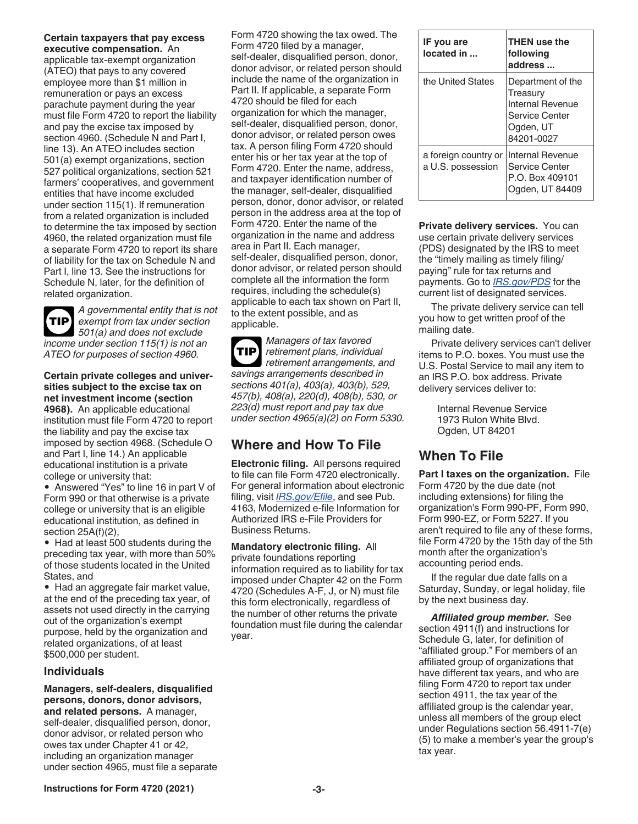<span id="page-2-0"></span>**Certain taxpayers that pay excess executive compensation.** An

applicable tax-exempt organization (ATEO) that pays to any covered employee more than \$1 million in remuneration or pays an excess parachute payment during the year must file Form 4720 to report the liability and pay the excise tax imposed by section 4960. (Schedule N and Part I, line 13). An ATEO includes section 501(a) exempt organizations, section 527 political organizations, section 521 farmers' cooperatives, and government entities that have income excluded under section 115(1). If remuneration from a related organization is included to determine the tax imposed by section 4960, the related organization must file a separate Form 4720 to report its share of liability for the tax on Schedule N and Part I, line 13. See the instructions for Schedule N, later, for the definition of related organization.

**TIP**

*A governmental entity that is not exempt from tax under section 501(a) and does not exclude income under section 115(1) is not an ATEO for purposes of section 4960.*

**Certain private colleges and universities subject to the excise tax on net investment income (section 4968).** An applicable educational institution must file Form 4720 to report the liability and pay the excise tax imposed by section 4968. (Schedule O and Part I, line 14.) An applicable educational institution is a private college or university that:

• Answered "Yes" to line 16 in part V of Form 990 or that otherwise is a private college or university that is an eligible educational institution, as defined in section 25A(f)(2),

• Had at least 500 students during the preceding tax year, with more than 50% of those students located in the United States, and

• Had an aggregate fair market value, at the end of the preceding tax year, of assets not used directly in the carrying out of the organization's exempt purpose, held by the organization and related organizations, of at least \$500,000 per student.

#### **Individuals**

**Managers, self-dealers, disqualified persons, donors, donor advisors, and related persons.** A manager, self-dealer, disqualified person, donor, donor advisor, or related person who owes tax under Chapter 41 or 42, including an organization manager under section 4965, must file a separate Form 4720 showing the tax owed. The Form 4720 filed by a manager, self-dealer, disqualified person, donor, donor advisor, or related person should include the name of the organization in Part II. If applicable, a separate Form 4720 should be filed for each organization for which the manager, self-dealer, disqualified person, donor, donor advisor, or related person owes tax. A person filing Form 4720 should enter his or her tax year at the top of Form 4720. Enter the name, address, and taxpayer identification number of the manager, self-dealer, disqualified person, donor, donor advisor, or related person in the address area at the top of Form 4720. Enter the name of the organization in the name and address area in Part II. Each manager, self-dealer, disqualified person, donor, donor advisor, or related person should complete all the information the form requires, including the schedule(s) applicable to each tax shown on Part II, to the extent possible, and as applicable.

*Managers of tax favored retirement plans, individual retirement arrangements, and savings arrangements described in sections 401(a), 403(a), 403(b), 529, 457(b), 408(a), 220(d), 408(b), 530, or 223(d) must report and pay tax due under section 4965(a)(2) on Form 5330.* **TIP**

### **Where and How To File**

**Electronic filing.** All persons required to file can file Form 4720 electronically. For general information about electronic filing, visit *[IRS.gov/Efile](https://www.irs.gov/e-file-providers/e-file-for-charities-and-non-profits)*, and see Pub. 4163, Modernized e-file Information for Authorized IRS e-File Providers for Business Returns.

**Mandatory electronic filing.** All private foundations reporting information required as to liability for tax imposed under Chapter 42 on the Form 4720 (Schedules A-F, J, or N) must file this form electronically, regardless of the number of other returns the private foundation must file during the calendar year.

| IF you are<br>located in                  | <b>THEN use the</b><br>following<br>address                                                    |
|-------------------------------------------|------------------------------------------------------------------------------------------------|
| the United States                         | Department of the<br>Treasury<br>Internal Revenue<br>Service Center<br>Ogden, UT<br>84201-0027 |
| a foreign country or<br>a U.S. possession | Internal Revenue<br>Service Center<br>P.O. Box 409101<br>Ogden, UT 84409                       |

**Private delivery services.** You can use certain private delivery services (PDS) designated by the IRS to meet the "timely mailing as timely filing/ paying" rule for tax returns and payments. Go to *[IRS.gov/PDS](https://www.irs.gov/uac/private-delivery-services-pds)* for the current list of designated services.

The private delivery service can tell you how to get written proof of the mailing date.

Private delivery services can't deliver items to P.O. boxes. You must use the U.S. Postal Service to mail any item to an IRS P.O. box address. Private delivery services deliver to:

> Internal Revenue Service 1973 Rulon White Blvd. Ogden, UT 84201

### **When To File**

**Part I taxes on the organization.** File Form 4720 by the due date (not including extensions) for filing the organization's Form 990-PF, Form 990, Form 990-EZ, or Form 5227. If you aren't required to file any of these forms, file Form 4720 by the 15th day of the 5th month after the organization's accounting period ends.

If the regular due date falls on a Saturday, Sunday, or legal holiday, file by the next business day.

*Affiliated group member.* See section 4911(f) and instructions for Schedule G, later, for definition of "affiliated group." For members of an affiliated group of organizations that have different tax years, and who are filing Form 4720 to report tax under section 4911, the tax year of the affiliated group is the calendar year, unless all members of the group elect under Regulations section 56.4911-7(e) (5) to make a member's year the group's tax year.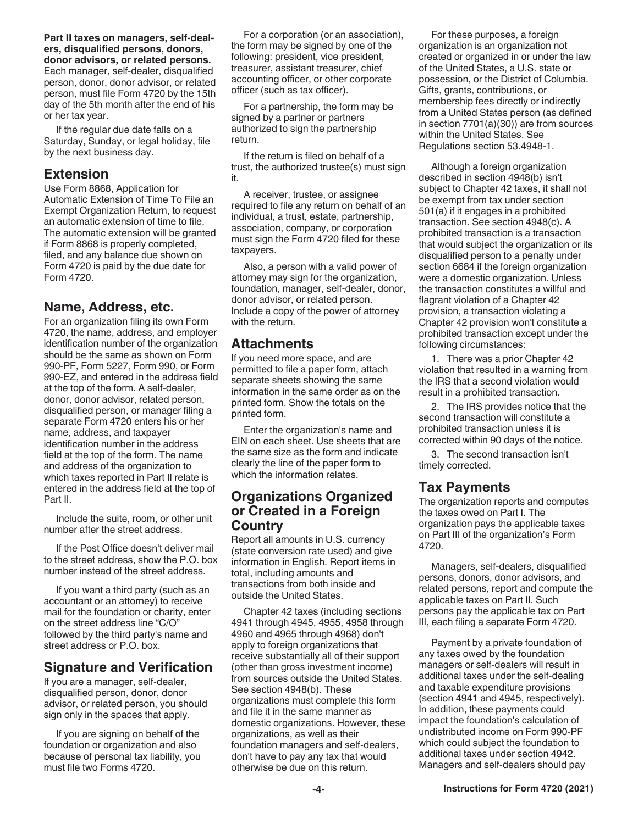<span id="page-3-0"></span>**Part II taxes on managers, self-dealers, disqualified persons, donors, donor advisors, or related persons.**  Each manager, self-dealer, disqualified person, donor, donor advisor, or related person, must file Form 4720 by the 15th day of the 5th month after the end of his or her tax year.

If the regular due date falls on a Saturday, Sunday, or legal holiday, file by the next business day.

#### **Extension**

Use Form 8868, Application for Automatic Extension of Time To File an Exempt Organization Return, to request an automatic extension of time to file. The automatic extension will be granted if Form 8868 is properly completed, filed, and any balance due shown on Form 4720 is paid by the due date for Form 4720.

### **Name, Address, etc.**

For an organization filing its own Form 4720, the name, address, and employer identification number of the organization should be the same as shown on Form 990-PF, Form 5227, Form 990, or Form 990-EZ, and entered in the address field at the top of the form. A self-dealer, donor, donor advisor, related person, disqualified person, or manager filing a separate Form 4720 enters his or her name, address, and taxpayer identification number in the address field at the top of the form. The name and address of the organization to which taxes reported in Part II relate is entered in the address field at the top of Part II.

Include the suite, room, or other unit number after the street address.

If the Post Office doesn't deliver mail to the street address, show the P.O. box number instead of the street address.

If you want a third party (such as an accountant or an attorney) to receive mail for the foundation or charity, enter on the street address line "C/O" followed by the third party's name and street address or P.O. box.

### **Signature and Verification**

If you are a manager, self-dealer, disqualified person, donor, donor advisor, or related person, you should sign only in the spaces that apply.

If you are signing on behalf of the foundation or organization and also because of personal tax liability, you must file two Forms 4720.

For a corporation (or an association), the form may be signed by one of the following: president, vice president, treasurer, assistant treasurer, chief accounting officer, or other corporate officer (such as tax officer).

For a partnership, the form may be signed by a partner or partners authorized to sign the partnership return.

If the return is filed on behalf of a trust, the authorized trustee(s) must sign it.

A receiver, trustee, or assignee required to file any return on behalf of an individual, a trust, estate, partnership, association, company, or corporation must sign the Form 4720 filed for these taxpayers.

Also, a person with a valid power of attorney may sign for the organization, foundation, manager, self-dealer, donor, donor advisor, or related person. Include a copy of the power of attorney with the return.

### **Attachments**

If you need more space, and are permitted to file a paper form, attach separate sheets showing the same information in the same order as on the printed form. Show the totals on the printed form.

Enter the organization's name and EIN on each sheet. Use sheets that are the same size as the form and indicate clearly the line of the paper form to which the information relates.

### **Organizations Organized or Created in a Foreign Country**

Report all amounts in U.S. currency (state conversion rate used) and give information in English. Report items in total, including amounts and transactions from both inside and outside the United States.

Chapter 42 taxes (including sections 4941 through 4945, 4955, 4958 through 4960 and 4965 through 4968) don't apply to foreign organizations that receive substantially all of their support (other than gross investment income) from sources outside the United States. See section 4948(b). These organizations must complete this form and file it in the same manner as domestic organizations. However, these organizations, as well as their foundation managers and self-dealers, don't have to pay any tax that would otherwise be due on this return.

For these purposes, a foreign organization is an organization not created or organized in or under the law of the United States, a U.S. state or possession, or the District of Columbia. Gifts, grants, contributions, or membership fees directly or indirectly from a United States person (as defined in section 7701(a)(30)) are from sources within the United States. See Regulations section 53.4948-1.

Although a foreign organization described in section 4948(b) isn't subject to Chapter 42 taxes, it shall not be exempt from tax under section 501(a) if it engages in a prohibited transaction. See section 4948(c). A prohibited transaction is a transaction that would subject the organization or its disqualified person to a penalty under section 6684 if the foreign organization were a domestic organization. Unless the transaction constitutes a willful and flagrant violation of a Chapter 42 provision, a transaction violating a Chapter 42 provision won't constitute a prohibited transaction except under the following circumstances:

1. There was a prior Chapter 42 violation that resulted in a warning from the IRS that a second violation would result in a prohibited transaction.

2. The IRS provides notice that the second transaction will constitute a prohibited transaction unless it is corrected within 90 days of the notice.

3. The second transaction isn't timely corrected.

### **Tax Payments**

The organization reports and computes the taxes owed on Part I. The organization pays the applicable taxes on Part III of the organization's Form 4720.

Managers, self-dealers, disqualified persons, donors, donor advisors, and related persons, report and compute the applicable taxes on Part II. Such persons pay the applicable tax on Part III, each filing a separate Form 4720.

Payment by a private foundation of any taxes owed by the foundation managers or self-dealers will result in additional taxes under the self-dealing and taxable expenditure provisions (section 4941 and 4945, respectively). In addition, these payments could impact the foundation's calculation of undistributed income on Form 990-PF which could subject the foundation to additional taxes under section 4942. Managers and self-dealers should pay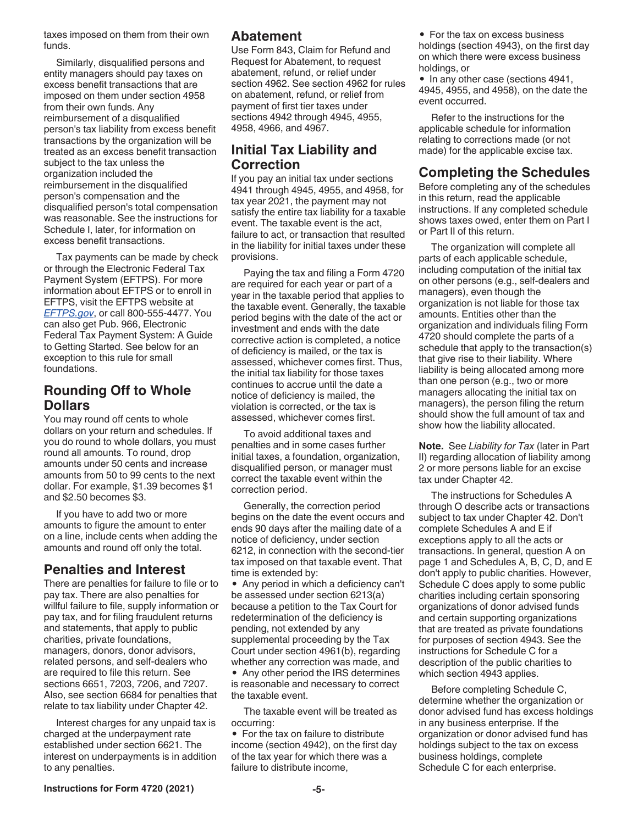<span id="page-4-0"></span>taxes imposed on them from their own funds.

Similarly, disqualified persons and entity managers should pay taxes on excess benefit transactions that are imposed on them under section 4958 from their own funds. Any reimbursement of a disqualified person's tax liability from excess benefit transactions by the organization will be treated as an excess benefit transaction subject to the tax unless the organization included the reimbursement in the disqualified person's compensation and the disqualified person's total compensation was reasonable. See the instructions for Schedule I, later, for information on excess benefit transactions.

Tax payments can be made by check or through the Electronic Federal Tax Payment System (EFTPS). For more information about EFTPS or to enroll in EFTPS, visit the EFTPS website at *[EFTPS.gov](http://eftps.gov)*, or call 800-555-4477. You can also get Pub. 966, Electronic Federal Tax Payment System: A Guide to Getting Started. See below for an exception to this rule for small foundations.

### **Rounding Off to Whole Dollars**

You may round off cents to whole dollars on your return and schedules. If you do round to whole dollars, you must round all amounts. To round, drop amounts under 50 cents and increase amounts from 50 to 99 cents to the next dollar. For example, \$1.39 becomes \$1 and \$2.50 becomes \$3.

If you have to add two or more amounts to figure the amount to enter on a line, include cents when adding the amounts and round off only the total.

### **Penalties and Interest**

There are penalties for failure to file or to pay tax. There are also penalties for willful failure to file, supply information or pay tax, and for filing fraudulent returns and statements, that apply to public charities, private foundations, managers, donors, donor advisors, related persons, and self-dealers who are required to file this return. See sections 6651, 7203, 7206, and 7207. Also, see section 6684 for penalties that relate to tax liability under Chapter 42.

Interest charges for any unpaid tax is charged at the underpayment rate established under section 6621. The interest on underpayments is in addition to any penalties.

### **Abatement**

Use Form 843, Claim for Refund and Request for Abatement, to request abatement, refund, or relief under section 4962. See section 4962 for rules on abatement, refund, or relief from payment of first tier taxes under sections 4942 through 4945, 4955, 4958, 4966, and 4967.

### **Initial Tax Liability and Correction**

If you pay an initial tax under sections 4941 through 4945, 4955, and 4958, for tax year 2021, the payment may not satisfy the entire tax liability for a taxable event. The taxable event is the act, failure to act, or transaction that resulted in the liability for initial taxes under these provisions.

Paying the tax and filing a Form 4720 are required for each year or part of a year in the taxable period that applies to the taxable event. Generally, the taxable period begins with the date of the act or investment and ends with the date corrective action is completed, a notice of deficiency is mailed, or the tax is assessed, whichever comes first. Thus, the initial tax liability for those taxes continues to accrue until the date a notice of deficiency is mailed, the violation is corrected, or the tax is assessed, whichever comes first.

To avoid additional taxes and penalties and in some cases further initial taxes, a foundation, organization, disqualified person, or manager must correct the taxable event within the correction period.

Generally, the correction period begins on the date the event occurs and ends 90 days after the mailing date of a notice of deficiency, under section 6212, in connection with the second-tier tax imposed on that taxable event. That time is extended by:

• Any period in which a deficiency can't be assessed under section 6213(a) because a petition to the Tax Court for redetermination of the deficiency is pending, not extended by any supplemental proceeding by the Tax Court under section 4961(b), regarding whether any correction was made, and • Any other period the IRS determines is reasonable and necessary to correct the taxable event.

The taxable event will be treated as occurring:

• For the tax on failure to distribute income (section 4942), on the first day of the tax year for which there was a failure to distribute income,

• For the tax on excess business holdings (section 4943), on the first day on which there were excess business holdings, or

• In any other case (sections 4941, 4945, 4955, and 4958), on the date the event occurred.

Refer to the instructions for the applicable schedule for information relating to corrections made (or not made) for the applicable excise tax.

### **Completing the Schedules**

Before completing any of the schedules in this return, read the applicable instructions. If any completed schedule shows taxes owed, enter them on Part I or Part II of this return.

The organization will complete all parts of each applicable schedule, including computation of the initial tax on other persons (e.g., self-dealers and managers), even though the organization is not liable for those tax amounts. Entities other than the organization and individuals filing Form 4720 should complete the parts of a schedule that apply to the transaction(s) that give rise to their liability. Where liability is being allocated among more than one person (e.g., two or more managers allocating the initial tax on managers), the person filing the return should show the full amount of tax and show how the liability allocated.

**Note.** See *Liability for Tax* (later in Part II) regarding allocation of liability among 2 or more persons liable for an excise tax under Chapter 42.

The instructions for Schedules A through O describe acts or transactions subject to tax under Chapter 42. Don't complete Schedules A and E if exceptions apply to all the acts or transactions. In general, question A on page 1 and Schedules A, B, C, D, and E don't apply to public charities. However, Schedule C does apply to some public charities including certain sponsoring organizations of donor advised funds and certain supporting organizations that are treated as private foundations for purposes of section 4943. See the instructions for Schedule C for a description of the public charities to which section 4943 applies.

Before completing Schedule C, determine whether the organization or donor advised fund has excess holdings in any business enterprise. If the organization or donor advised fund has holdings subject to the tax on excess business holdings, complete Schedule C for each enterprise.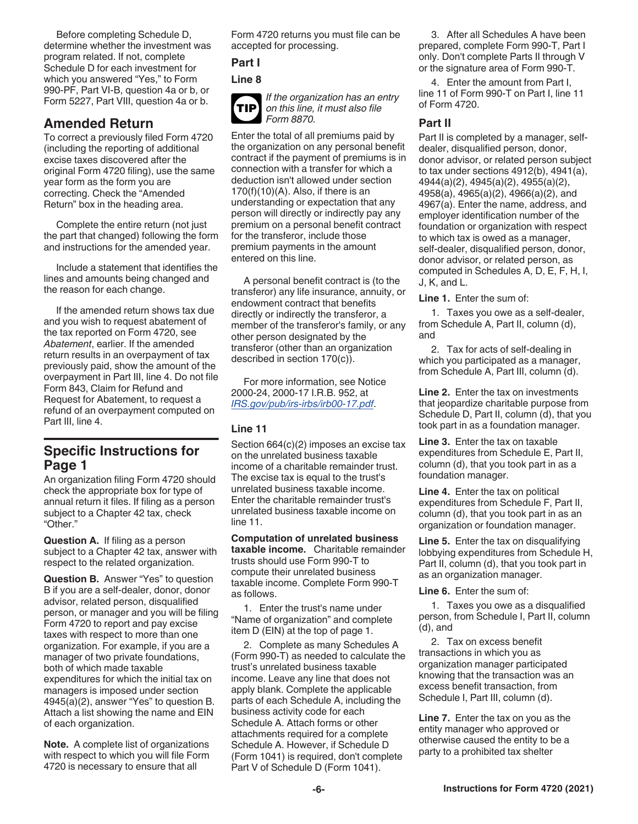<span id="page-5-0"></span>Before completing Schedule D, determine whether the investment was program related. If not, complete Schedule D for each investment for which you answered "Yes," to Form 990-PF, Part VI-B, question 4a or b, or Form 5227, Part VIII, question 4a or b.

### **Amended Return**

To correct a previously filed Form 4720 (including the reporting of additional excise taxes discovered after the original Form 4720 filing), use the same year form as the form you are correcting. Check the "Amended Return" box in the heading area.

Complete the entire return (not just the part that changed) following the form and instructions for the amended year.

Include a statement that identifies the lines and amounts being changed and the reason for each change.

If the amended return shows tax due and you wish to request abatement of the tax reported on Form 4720, see *Abatement*, earlier. If the amended return results in an overpayment of tax previously paid, show the amount of the overpayment in Part III, line 4. Do not file Form 843, Claim for Refund and Request for Abatement, to request a refund of an overpayment computed on Part III, line 4.

### **Specific Instructions for Page 1**

An organization filing Form 4720 should check the appropriate box for type of annual return it files. If filing as a person subject to a Chapter 42 tax, check "Other."

**Question A.** If filing as a person subject to a Chapter 42 tax, answer with respect to the related organization.

**Question B.** Answer "Yes" to question B if you are a self-dealer, donor, donor advisor, related person, disqualified person, or manager and you will be filing Form 4720 to report and pay excise taxes with respect to more than one organization. For example, if you are a manager of two private foundations, both of which made taxable expenditures for which the initial tax on managers is imposed under section 4945(a)(2), answer "Yes" to question B. Attach a list showing the name and EIN of each organization.

**Note.** A complete list of organizations with respect to which you will file Form 4720 is necessary to ensure that all

Form 4720 returns you must file can be accepted for processing.

**Part I**

**Line 8**



*If the organization has an entry on this line, it must also file Form 8870.*

Enter the total of all premiums paid by the organization on any personal benefit contract if the payment of premiums is in connection with a transfer for which a deduction isn't allowed under section  $170(f)(10)(A)$ . Also, if there is an understanding or expectation that any person will directly or indirectly pay any premium on a personal benefit contract for the transferor, include those premium payments in the amount entered on this line.

A personal benefit contract is (to the transferor) any life insurance, annuity, or endowment contract that benefits directly or indirectly the transferor, a member of the transferor's family, or any other person designated by the transferor (other than an organization described in section 170(c)).

For more information, see Notice 2000-24, 2000-17 I.R.B. 952, at *[IRS.gov/pub/irs-irbs/irb00-17.pdf](https://www.irs.gov/pub/irs-irbs/irb00-17.pdf)*.

### **Line 11**

Section 664(c)(2) imposes an excise tax on the unrelated business taxable income of a charitable remainder trust. The excise tax is equal to the trust's unrelated business taxable income. Enter the charitable remainder trust's unrelated business taxable income on line 11.

**Computation of unrelated business taxable income.** Charitable remainder trusts should use Form 990-T to compute their unrelated business taxable income. Complete Form 990-T as follows.

1. Enter the trust's name under "Name of organization" and complete item D (EIN) at the top of page 1.

2. Complete as many Schedules A (Form 990-T) as needed to calculate the trust's unrelated business taxable income. Leave any line that does not apply blank. Complete the applicable parts of each Schedule A, including the business activity code for each Schedule A. Attach forms or other attachments required for a complete Schedule A. However, if Schedule D (Form 1041) is required, don't complete Part V of Schedule D (Form 1041).

3. After all Schedules A have been prepared, complete Form 990-T, Part I only. Don't complete Parts II through V or the signature area of Form 990-T.

4. Enter the amount from Part I, line 11 of Form 990-T on Part I, line 11 of Form 4720.

### **Part II**

Part II is completed by a manager, selfdealer, disqualified person, donor, donor advisor, or related person subject to tax under sections 4912(b), 4941(a), 4944(a)(2), 4945(a)(2), 4955(a)(2), 4958(a), 4965(a)(2), 4966(a)(2), and 4967(a). Enter the name, address, and employer identification number of the foundation or organization with respect to which tax is owed as a manager, self-dealer, disqualified person, donor, donor advisor, or related person, as computed in Schedules A, D, E, F, H, I, J, K, and L.

**Line 1.** Enter the sum of:

1. Taxes you owe as a self-dealer, from Schedule A, Part II, column (d), and

2. Tax for acts of self-dealing in which you participated as a manager, from Schedule A, Part III, column (d).

**Line 2.** Enter the tax on investments that jeopardize charitable purpose from Schedule D, Part II, column (d), that you took part in as a foundation manager.

**Line 3.** Enter the tax on taxable expenditures from Schedule E, Part II, column (d), that you took part in as a foundation manager.

**Line 4.** Enter the tax on political expenditures from Schedule F, Part II, column (d), that you took part in as an organization or foundation manager.

**Line 5.** Enter the tax on disqualifying lobbying expenditures from Schedule H, Part II, column (d), that you took part in as an organization manager.

**Line 6.** Enter the sum of:

1. Taxes you owe as a disqualified person, from Schedule I, Part II, column (d), and

2. Tax on excess benefit transactions in which you as organization manager participated knowing that the transaction was an excess benefit transaction, from Schedule I, Part III, column (d).

**Line 7.** Enter the tax on you as the entity manager who approved or otherwise caused the entity to be a party to a prohibited tax shelter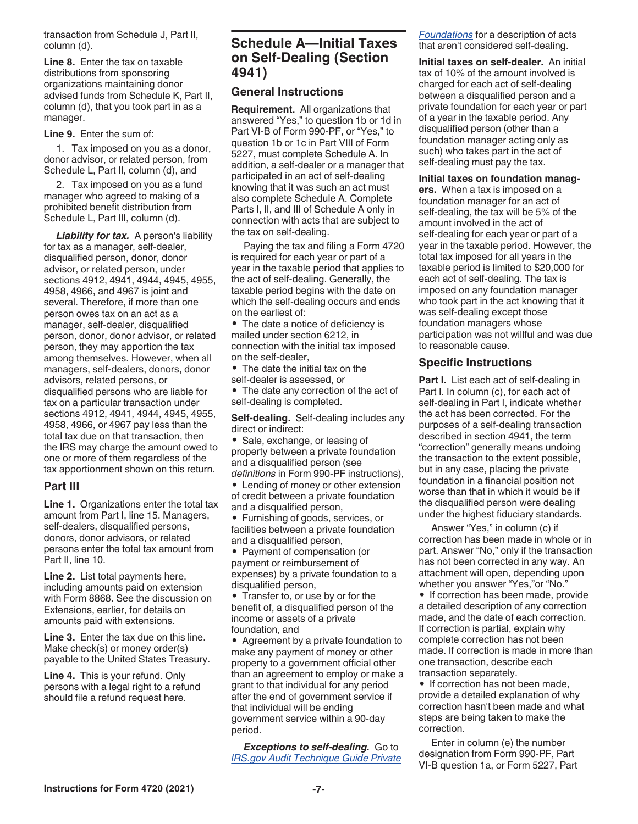<span id="page-6-0"></span>transaction from Schedule J, Part II, column (d).

**Line 8.** Enter the tax on taxable distributions from sponsoring organizations maintaining donor advised funds from Schedule K, Part II, column (d), that you took part in as a manager.

#### **Line 9.** Enter the sum of:

1. Tax imposed on you as a donor, donor advisor, or related person, from Schedule L, Part II, column (d), and

2. Tax imposed on you as a fund manager who agreed to making of a prohibited benefit distribution from Schedule L, Part III, column (d).

**Liability for tax.** A person's liability for tax as a manager, self-dealer, disqualified person, donor, donor advisor, or related person, under sections 4912, 4941, 4944, 4945, 4955, 4958, 4966, and 4967 is joint and several. Therefore, if more than one person owes tax on an act as a manager, self-dealer, disqualified person, donor, donor advisor, or related person, they may apportion the tax among themselves. However, when all managers, self-dealers, donors, donor advisors, related persons, or disqualified persons who are liable for tax on a particular transaction under sections 4912, 4941, 4944, 4945, 4955, 4958, 4966, or 4967 pay less than the total tax due on that transaction, then the IRS may charge the amount owed to one or more of them regardless of the tax apportionment shown on this return.

#### **Part III**

**Line 1.** Organizations enter the total tax amount from Part I, line 15. Managers, self-dealers, disqualified persons, donors, donor advisors, or related persons enter the total tax amount from Part II, line 10.

**Line 2.** List total payments here, including amounts paid on extension with Form 8868. See the discussion on Extensions, earlier, for details on amounts paid with extensions.

**Line 3.** Enter the tax due on this line. Make check(s) or money order(s) payable to the United States Treasury.

**Line 4.** This is your refund. Only persons with a legal right to a refund should file a refund request here.

### **Schedule A—Initial Taxes on Self-Dealing (Section 4941)**

#### **General Instructions**

**Requirement.** All organizations that answered "Yes," to question 1b or 1d in Part VI-B of Form 990-PF, or "Yes," to question 1b or 1c in Part VIII of Form 5227, must complete Schedule A. In addition, a self-dealer or a manager that participated in an act of self-dealing knowing that it was such an act must also complete Schedule A. Complete Parts I, II, and III of Schedule A only in connection with acts that are subject to the tax on self-dealing.

Paying the tax and filing a Form 4720 is required for each year or part of a year in the taxable period that applies to the act of self-dealing. Generally, the taxable period begins with the date on which the self-dealing occurs and ends on the earliest of:

• The date a notice of deficiency is mailed under section 6212, in connection with the initial tax imposed on the self-dealer,

• The date the initial tax on the self-dealer is assessed, or

• The date any correction of the act of self-dealing is completed.

**Self-dealing.** Self-dealing includes any direct or indirect:

• Sale, exchange, or leasing of property between a private foundation and a disqualified person (see *definitions* in Form 990-PF instructions),

• Lending of money or other extension of credit between a private foundation and a disqualified person,

• Furnishing of goods, services, or facilities between a private foundation and a disqualified person,

• Payment of compensation (or payment or reimbursement of expenses) by a private foundation to a disqualified person,

• Transfer to, or use by or for the benefit of, a disqualified person of the income or assets of a private foundation, and

• Agreement by a private foundation to make any payment of money or other property to a government official other than an agreement to employ or make a grant to that individual for any period after the end of government service if that individual will be ending government service within a 90-day period.

*Exceptions to self-dealing.* Go to *[IRS.gov Audit Technique Guide Private](https://www.irs.gov/pub/irs-tege/atg_private_foundations.pdf)*  *[Foundations](https://www.irs.gov/pub/irs-tege/atg_private_foundations.pdf)* for a description of acts that aren't considered self-dealing.

**Initial taxes on self-dealer.** An initial tax of 10% of the amount involved is charged for each act of self-dealing between a disqualified person and a private foundation for each year or part of a year in the taxable period. Any disqualified person (other than a foundation manager acting only as such) who takes part in the act of self-dealing must pay the tax.

#### **Initial taxes on foundation manag-**

**ers.** When a tax is imposed on a foundation manager for an act of self-dealing, the tax will be 5% of the amount involved in the act of self-dealing for each year or part of a year in the taxable period. However, the total tax imposed for all years in the taxable period is limited to \$20,000 for each act of self-dealing. The tax is imposed on any foundation manager who took part in the act knowing that it was self-dealing except those foundation managers whose participation was not willful and was due to reasonable cause.

#### **Specific Instructions**

**Part I.** List each act of self-dealing in Part I. In column (c), for each act of self-dealing in Part I, indicate whether the act has been corrected. For the purposes of a self-dealing transaction described in section 4941, the term "correction" generally means undoing the transaction to the extent possible, but in any case, placing the private foundation in a financial position not worse than that in which it would be if the disqualified person were dealing under the highest fiduciary standards.

Answer "Yes," in column (c) if correction has been made in whole or in part. Answer "No," only if the transaction has not been corrected in any way. An attachment will open, depending upon whether you answer "Yes,"or "No."

• If correction has been made, provide a detailed description of any correction made, and the date of each correction. If correction is partial, explain why complete correction has not been made. If correction is made in more than one transaction, describe each transaction separately.

• If correction has not been made. provide a detailed explanation of why correction hasn't been made and what steps are being taken to make the correction.

Enter in column (e) the number designation from Form 990-PF, Part VI-B question 1a, or Form 5227, Part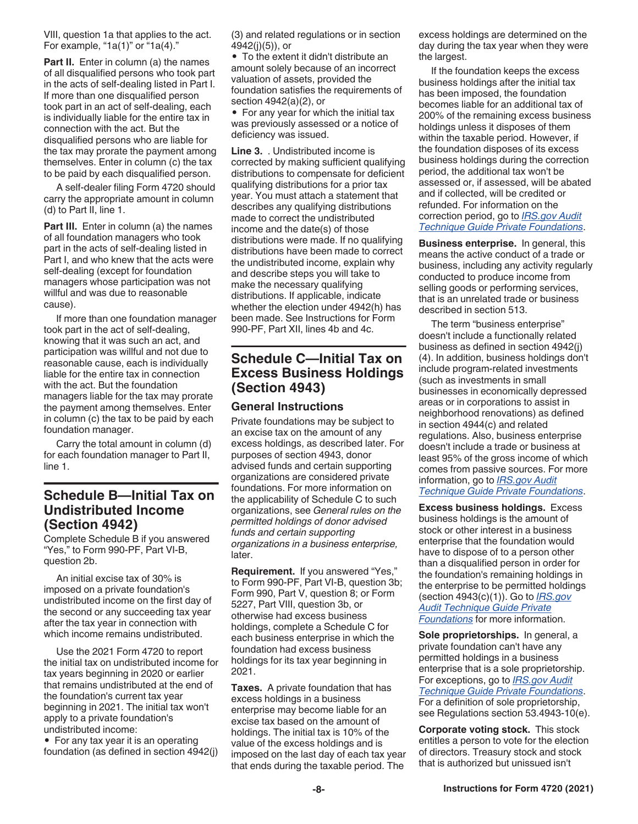<span id="page-7-0"></span>VIII, question 1a that applies to the act. For example, " $1a(1)$ " or " $1a(4)$ ."

**Part II.** Enter in column (a) the names of all disqualified persons who took part in the acts of self-dealing listed in Part I. If more than one disqualified person took part in an act of self-dealing, each is individually liable for the entire tax in connection with the act. But the disqualified persons who are liable for the tax may prorate the payment among themselves. Enter in column (c) the tax to be paid by each disqualified person.

A self-dealer filing Form 4720 should carry the appropriate amount in column (d) to Part II, line 1.

**Part III.** Enter in column (a) the names of all foundation managers who took part in the acts of self-dealing listed in Part I, and who knew that the acts were self-dealing (except for foundation managers whose participation was not willful and was due to reasonable cause).

If more than one foundation manager took part in the act of self-dealing, knowing that it was such an act, and participation was willful and not due to reasonable cause, each is individually liable for the entire tax in connection with the act. But the foundation managers liable for the tax may prorate the payment among themselves. Enter in column (c) the tax to be paid by each foundation manager.

Carry the total amount in column (d) for each foundation manager to Part II, line 1.

### **Schedule B—Initial Tax on Undistributed Income (Section 4942)**

Complete Schedule B if you answered "Yes," to Form 990-PF, Part VI-B, question 2b.

An initial excise tax of 30% is imposed on a private foundation's undistributed income on the first day of the second or any succeeding tax year after the tax year in connection with which income remains undistributed.

Use the 2021 Form 4720 to report the initial tax on undistributed income for tax years beginning in 2020 or earlier that remains undistributed at the end of the foundation's current tax year beginning in 2021. The initial tax won't apply to a private foundation's undistributed income:

• For any tax year it is an operating foundation (as defined in section 4942(j) (3) and related regulations or in section 4942(j)(5)), or

• To the extent it didn't distribute an amount solely because of an incorrect valuation of assets, provided the foundation satisfies the requirements of section 4942(a)(2), or

• For any year for which the initial tax was previously assessed or a notice of deficiency was issued.

**Line 3.** . Undistributed income is corrected by making sufficient qualifying distributions to compensate for deficient qualifying distributions for a prior tax year. You must attach a statement that describes any qualifying distributions made to correct the undistributed income and the date(s) of those distributions were made. If no qualifying distributions have been made to correct the undistributed income, explain why and describe steps you will take to make the necessary qualifying distributions. If applicable, indicate whether the election under 4942(h) has been made. See Instructions for Form 990-PF, Part XII, lines 4b and 4c.

### **Schedule C—Initial Tax on Excess Business Holdings (Section 4943)**

#### **General Instructions**

Private foundations may be subject to an excise tax on the amount of any excess holdings, as described later. For purposes of section 4943, donor advised funds and certain supporting organizations are considered private foundations. For more information on the applicability of Schedule C to such organizations, see *General rules on the permitted holdings of donor advised funds and certain supporting organizations in a business enterprise,*  later.

**Requirement.** If you answered "Yes," to Form 990-PF, Part VI-B, question 3b; Form 990, Part V, question 8; or Form 5227, Part VIII, question 3b, or otherwise had excess business holdings, complete a Schedule C for each business enterprise in which the foundation had excess business holdings for its tax year beginning in 2021.

**Taxes.** A private foundation that has excess holdings in a business enterprise may become liable for an excise tax based on the amount of holdings. The initial tax is 10% of the value of the excess holdings and is imposed on the last day of each tax year that ends during the taxable period. The

excess holdings are determined on the day during the tax year when they were the largest.

If the foundation keeps the excess business holdings after the initial tax has been imposed, the foundation becomes liable for an additional tax of 200% of the remaining excess business holdings unless it disposes of them within the taxable period. However, if the foundation disposes of its excess business holdings during the correction period, the additional tax won't be assessed or, if assessed, will be abated and if collected, will be credited or refunded. For information on the correction period, go to *[IRS.gov Audit](https://www.irs.gov/pub/irs-tege/atg_private_foundations.pdf) [Technique Guide Private Foundations](https://www.irs.gov/pub/irs-tege/atg_private_foundations.pdf)*.

**Business enterprise.** In general, this means the active conduct of a trade or business, including any activity regularly conducted to produce income from selling goods or performing services, that is an unrelated trade or business described in section 513.

The term "business enterprise" doesn't include a functionally related business as defined in section 4942(j) (4). In addition, business holdings don't include program-related investments (such as investments in small businesses in economically depressed areas or in corporations to assist in neighborhood renovations) as defined in section 4944(c) and related regulations. Also, business enterprise doesn't include a trade or business at least 95% of the gross income of which comes from passive sources. For more information, go to *[IRS.gov Audit](https://www.irs.gov/pub/irs-tege/atg_private_foundations.pdf) [Technique Guide Private Foundations](https://www.irs.gov/pub/irs-tege/atg_private_foundations.pdf)*.

**Excess business holdings.** Excess business holdings is the amount of stock or other interest in a business enterprise that the foundation would have to dispose of to a person other than a disqualified person in order for the foundation's remaining holdings in the enterprise to be permitted holdings (section 4943(c)(1)). Go to *[IRS.gov](https://www.irs.gov/pub/irs-tege/atg_private_foundations.pdf) [Audit Technique Guide Private](https://www.irs.gov/pub/irs-tege/atg_private_foundations.pdf) [Foundations](https://www.irs.gov/pub/irs-tege/atg_private_foundations.pdf)* for more information.

**Sole proprietorships.** In general, a private foundation can't have any permitted holdings in a business enterprise that is a sole proprietorship. For exceptions, go to *[IRS.gov Audit](https://www.irs.gov/pub/irs-tege/atg_private_foundations.pdf)  [Technique Guide Private Foundations](https://www.irs.gov/pub/irs-tege/atg_private_foundations.pdf)*. For a definition of sole proprietorship, see Regulations section 53.4943-10(e).

**Corporate voting stock.** This stock entitles a person to vote for the election of directors. Treasury stock and stock that is authorized but unissued isn't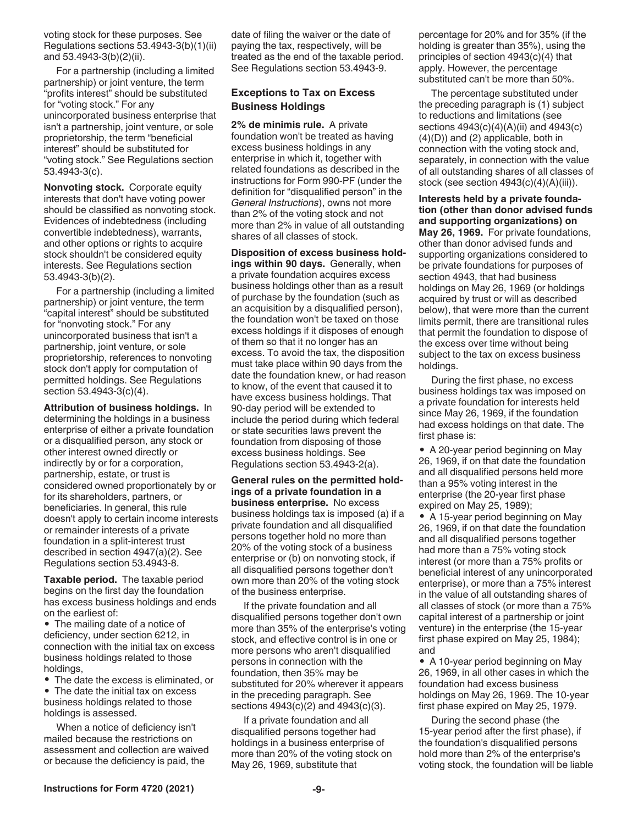<span id="page-8-0"></span>voting stock for these purposes. See Regulations sections 53.4943-3(b)(1)(ii) and 53.4943-3(b)(2)(ii).

For a partnership (including a limited partnership) or joint venture, the term "profits interest" should be substituted for "voting stock." For any unincorporated business enterprise that isn't a partnership, joint venture, or sole proprietorship, the term "beneficial interest" should be substituted for "voting stock." See Regulations section 53.4943-3(c).

**Nonvoting stock.** Corporate equity interests that don't have voting power should be classified as nonvoting stock. Evidences of indebtedness (including convertible indebtedness), warrants, and other options or rights to acquire stock shouldn't be considered equity interests. See Regulations section 53.4943-3(b)(2).

For a partnership (including a limited partnership) or joint venture, the term "capital interest" should be substituted for "nonvoting stock." For any unincorporated business that isn't a partnership, joint venture, or sole proprietorship, references to nonvoting stock don't apply for computation of permitted holdings. See Regulations section 53.4943-3(c)(4).

**Attribution of business holdings.** In determining the holdings in a business enterprise of either a private foundation or a disqualified person, any stock or other interest owned directly or indirectly by or for a corporation, partnership, estate, or trust is considered owned proportionately by or for its shareholders, partners, or beneficiaries. In general, this rule doesn't apply to certain income interests or remainder interests of a private foundation in a split-interest trust described in section 4947(a)(2). See Regulations section 53.4943-8.

**Taxable period.** The taxable period begins on the first day the foundation has excess business holdings and ends on the earliest of:

• The mailing date of a notice of deficiency, under section 6212, in connection with the initial tax on excess business holdings related to those holdings,

• The date the excess is eliminated, or

• The date the initial tax on excess business holdings related to those holdings is assessed.

When a notice of deficiency isn't mailed because the restrictions on assessment and collection are waived or because the deficiency is paid, the

date of filing the waiver or the date of paying the tax, respectively, will be treated as the end of the taxable period. See Regulations section 53.4943-9.

#### **Exceptions to Tax on Excess Business Holdings**

**2% de minimis rule.** A private foundation won't be treated as having excess business holdings in any enterprise in which it, together with related foundations as described in the instructions for Form 990-PF (under the definition for "disqualified person" in the *General Instructions*), owns not more than 2% of the voting stock and not more than 2% in value of all outstanding shares of all classes of stock.

**Disposition of excess business holdings within 90 days.** Generally, when a private foundation acquires excess business holdings other than as a result of purchase by the foundation (such as an acquisition by a disqualified person), the foundation won't be taxed on those excess holdings if it disposes of enough of them so that it no longer has an excess. To avoid the tax, the disposition must take place within 90 days from the date the foundation knew, or had reason to know, of the event that caused it to have excess business holdings. That 90-day period will be extended to include the period during which federal or state securities laws prevent the foundation from disposing of those excess business holdings. See Regulations section 53.4943-2(a).

**General rules on the permitted holdings of a private foundation in a business enterprise.** No excess business holdings tax is imposed (a) if a private foundation and all disqualified persons together hold no more than 20% of the voting stock of a business enterprise or (b) on nonvoting stock, if all disqualified persons together don't own more than 20% of the voting stock of the business enterprise.

If the private foundation and all disqualified persons together don't own more than 35% of the enterprise's voting stock, and effective control is in one or more persons who aren't disqualified persons in connection with the foundation, then 35% may be substituted for 20% wherever it appears in the preceding paragraph. See sections 4943(c)(2) and 4943(c)(3).

If a private foundation and all disqualified persons together had holdings in a business enterprise of more than 20% of the voting stock on May 26, 1969, substitute that

percentage for 20% and for 35% (if the holding is greater than 35%), using the principles of section 4943(c)(4) that apply. However, the percentage substituted can't be more than 50%.

The percentage substituted under the preceding paragraph is (1) subject to reductions and limitations (see sections 4943(c)(4)(A)(ii) and 4943(c)  $(4)(D)$  and  $(2)$  applicable, both in connection with the voting stock and, separately, in connection with the value of all outstanding shares of all classes of stock (see section  $4943(c)(4)(A)(iii)$ ).

**Interests held by a private foundation (other than donor advised funds and supporting organizations) on May 26, 1969.** For private foundations, other than donor advised funds and supporting organizations considered to be private foundations for purposes of section 4943, that had business holdings on May 26, 1969 (or holdings acquired by trust or will as described below), that were more than the current limits permit, there are transitional rules that permit the foundation to dispose of the excess over time without being subject to the tax on excess business holdings.

During the first phase, no excess business holdings tax was imposed on a private foundation for interests held since May 26, 1969, if the foundation had excess holdings on that date. The first phase is:

• A 20-year period beginning on May 26, 1969, if on that date the foundation and all disqualified persons held more than a 95% voting interest in the enterprise (the 20-year first phase expired on May 25, 1989);

• A 15-year period beginning on May 26, 1969, if on that date the foundation and all disqualified persons together had more than a 75% voting stock interest (or more than a 75% profits or beneficial interest of any unincorporated enterprise), or more than a 75% interest in the value of all outstanding shares of all classes of stock (or more than a 75% capital interest of a partnership or joint venture) in the enterprise (the 15-year first phase expired on May 25, 1984); and

• A 10-year period beginning on May 26, 1969, in all other cases in which the foundation had excess business holdings on May 26, 1969. The 10-year first phase expired on May 25, 1979.

During the second phase (the 15-year period after the first phase), if the foundation's disqualified persons hold more than 2% of the enterprise's voting stock, the foundation will be liable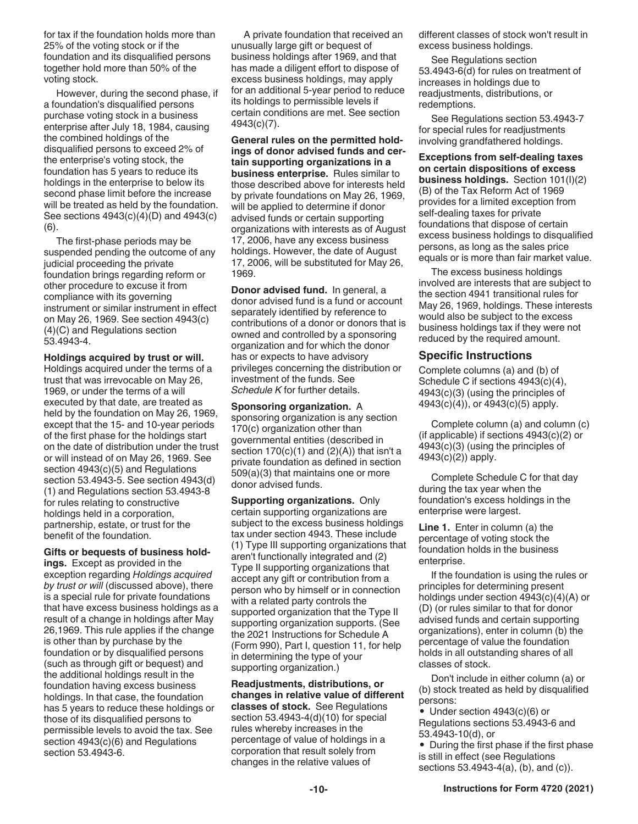for tax if the foundation holds more than 25% of the voting stock or if the foundation and its disqualified persons together hold more than 50% of the voting stock.

However, during the second phase, if a foundation's disqualified persons purchase voting stock in a business enterprise after July 18, 1984, causing the combined holdings of the disqualified persons to exceed 2% of the enterprise's voting stock, the foundation has 5 years to reduce its holdings in the enterprise to below its second phase limit before the increase will be treated as held by the foundation. See sections 4943(c)(4)(D) and 4943(c) (6).

The first-phase periods may be suspended pending the outcome of any judicial proceeding the private foundation brings regarding reform or other procedure to excuse it from compliance with its governing instrument or similar instrument in effect on May 26, 1969. See section 4943(c) (4)(C) and Regulations section 53.4943-4.

**Holdings acquired by trust or will.**  Holdings acquired under the terms of a trust that was irrevocable on May 26, 1969, or under the terms of a will executed by that date, are treated as held by the foundation on May 26, 1969, except that the 15- and 10-year periods of the first phase for the holdings start on the date of distribution under the trust or will instead of on May 26, 1969. See section 4943(c)(5) and Regulations section 53.4943-5. See section 4943(d) (1) and Regulations section 53.4943-8 for rules relating to constructive holdings held in a corporation, partnership, estate, or trust for the benefit of the foundation.

**Gifts or bequests of business holdings.** Except as provided in the

exception regarding *Holdings acquired by trust or will* (discussed above), there is a special rule for private foundations that have excess business holdings as a result of a change in holdings after May 26,1969. This rule applies if the change is other than by purchase by the foundation or by disqualified persons (such as through gift or bequest) and the additional holdings result in the foundation having excess business holdings. In that case, the foundation has 5 years to reduce these holdings or those of its disqualified persons to permissible levels to avoid the tax. See section 4943(c)(6) and Regulations section 53.4943-6.

A private foundation that received an unusually large gift or bequest of business holdings after 1969, and that has made a diligent effort to dispose of excess business holdings, may apply for an additional 5-year period to reduce its holdings to permissible levels if certain conditions are met. See section 4943(c)(7).

**General rules on the permitted holdings of donor advised funds and certain supporting organizations in a business enterprise.** Rules similar to those described above for interests held by private foundations on May 26, 1969, will be applied to determine if donor advised funds or certain supporting organizations with interests as of August 17, 2006, have any excess business holdings. However, the date of August 17, 2006, will be substituted for May 26, 1969.

**Donor advised fund.** In general, a donor advised fund is a fund or account separately identified by reference to contributions of a donor or donors that is owned and controlled by a sponsoring organization and for which the donor has or expects to have advisory privileges concerning the distribution or investment of the funds. See *Schedule K* for further details.

**Sponsoring organization.** A sponsoring organization is any section 170(c) organization other than governmental entities (described in section  $170(c)(1)$  and  $(2)(A)$ ) that isn't a private foundation as defined in section 509(a)(3) that maintains one or more donor advised funds.

**Supporting organizations.** Only certain supporting organizations are subject to the excess business holdings tax under section 4943. These include (1) Type III supporting organizations that aren't functionally integrated and (2) Type II supporting organizations that accept any gift or contribution from a person who by himself or in connection with a related party controls the supported organization that the Type II supporting organization supports. (See the 2021 Instructions for Schedule A (Form 990), Part I, question 11, for help in determining the type of your supporting organization.)

**Readjustments, distributions, or changes in relative value of different classes of stock.** See Regulations section 53.4943-4(d)(10) for special rules whereby increases in the percentage of value of holdings in a corporation that result solely from changes in the relative values of

different classes of stock won't result in excess business holdings.

See Regulations section 53.4943-6(d) for rules on treatment of increases in holdings due to readjustments, distributions, or redemptions.

See Regulations section 53.4943-7 for special rules for readjustments involving grandfathered holdings.

**Exceptions from self-dealing taxes on certain dispositions of excess business holdings.** Section 101(I)(2) (B) of the Tax Reform Act of 1969 provides for a limited exception from self-dealing taxes for private foundations that dispose of certain excess business holdings to disqualified persons, as long as the sales price equals or is more than fair market value.

The excess business holdings involved are interests that are subject to the section 4941 transitional rules for May 26, 1969, holdings. These interests would also be subject to the excess business holdings tax if they were not reduced by the required amount.

#### **Specific Instructions**

Complete columns (a) and (b) of Schedule C if sections 4943(c)(4), 4943(c)(3) (using the principles of 4943(c)(4)), or 4943(c)(5) apply.

Complete column (a) and column (c) (if applicable) if sections 4943(c)(2) or 4943(c)(3) (using the principles of 4943(c)(2)) apply.

Complete Schedule C for that day during the tax year when the foundation's excess holdings in the enterprise were largest.

**Line 1.** Enter in column (a) the percentage of voting stock the foundation holds in the business enterprise.

If the foundation is using the rules or principles for determining present holdings under section 4943(c)(4)(A) or (D) (or rules similar to that for donor advised funds and certain supporting organizations), enter in column (b) the percentage of value the foundation holds in all outstanding shares of all classes of stock.

Don't include in either column (a) or (b) stock treated as held by disqualified persons:

• Under section 4943(c)(6) or Regulations sections 53.4943-6 and 53.4943-10(d), or

• During the first phase if the first phase is still in effect (see Regulations sections 53.4943-4(a), (b), and (c)).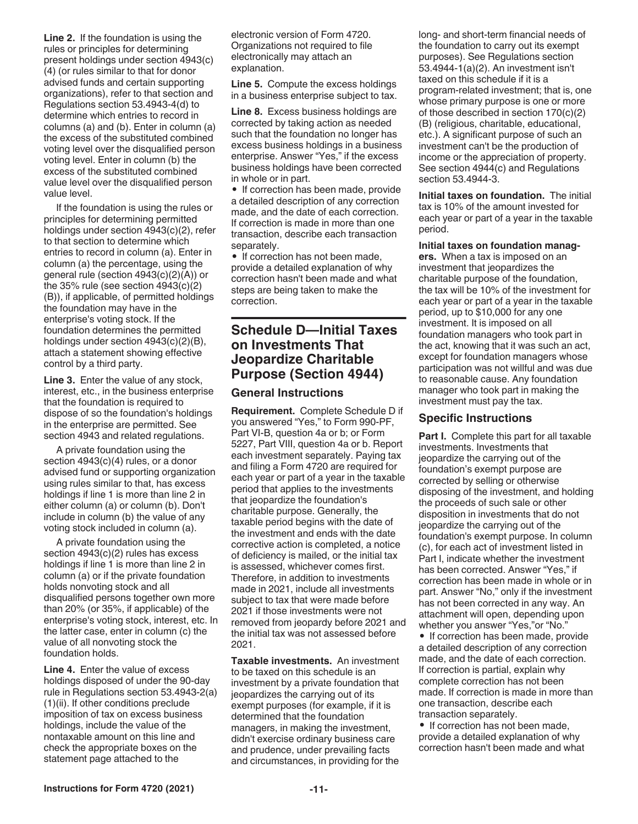<span id="page-10-0"></span>**Line 2.** If the foundation is using the rules or principles for determining present holdings under section 4943(c) (4) (or rules similar to that for donor advised funds and certain supporting organizations), refer to that section and Regulations section 53.4943-4(d) to determine which entries to record in columns (a) and (b). Enter in column (a) the excess of the substituted combined voting level over the disqualified person voting level. Enter in column (b) the excess of the substituted combined value level over the disqualified person value level.

If the foundation is using the rules or principles for determining permitted holdings under section 4943(c)(2), refer to that section to determine which entries to record in column (a). Enter in column (a) the percentage, using the general rule (section 4943(c)(2)(A)) or the 35% rule (see section 4943(c)(2) (B)), if applicable, of permitted holdings the foundation may have in the enterprise's voting stock. If the foundation determines the permitted holdings under section 4943(c)(2)(B), attach a statement showing effective control by a third party.

**Line 3.** Enter the value of any stock, interest, etc., in the business enterprise that the foundation is required to dispose of so the foundation's holdings in the enterprise are permitted. See section 4943 and related regulations.

A private foundation using the section 4943(c)(4) rules, or a donor advised fund or supporting organization using rules similar to that, has excess holdings if line 1 is more than line 2 in either column (a) or column (b). Don't include in column (b) the value of any voting stock included in column (a).

A private foundation using the section 4943(c)(2) rules has excess holdings if line 1 is more than line 2 in column (a) or if the private foundation holds nonvoting stock and all disqualified persons together own more than 20% (or 35%, if applicable) of the enterprise's voting stock, interest, etc. In the latter case, enter in column (c) the value of all nonvoting stock the foundation holds.

**Line 4.** Enter the value of excess holdings disposed of under the 90-day rule in Regulations section 53.4943-2(a) (1)(ii). If other conditions preclude imposition of tax on excess business holdings, include the value of the nontaxable amount on this line and check the appropriate boxes on the statement page attached to the

electronic version of Form 4720. Organizations not required to file electronically may attach an explanation.

**Line 5.** Compute the excess holdings in a business enterprise subject to tax.

**Line 8.** Excess business holdings are corrected by taking action as needed such that the foundation no longer has excess business holdings in a business enterprise. Answer "Yes," if the excess business holdings have been corrected in whole or in part.

• If correction has been made, provide a detailed description of any correction made, and the date of each correction. If correction is made in more than one transaction, describe each transaction separately.

• If correction has not been made, provide a detailed explanation of why correction hasn't been made and what steps are being taken to make the correction.

### **Schedule D—Initial Taxes on Investments That Jeopardize Charitable Purpose (Section 4944)**

#### **General Instructions**

**Requirement.** Complete Schedule D if you answered "Yes," to Form 990-PF, Part VI-B, question 4a or b; or Form 5227, Part VIII, question 4a or b. Report each investment separately. Paying tax and filing a Form 4720 are required for each year or part of a year in the taxable period that applies to the investments that jeopardize the foundation's charitable purpose. Generally, the taxable period begins with the date of the investment and ends with the date corrective action is completed, a notice of deficiency is mailed, or the initial tax is assessed, whichever comes first. Therefore, in addition to investments made in 2021, include all investments subject to tax that were made before 2021 if those investments were not removed from jeopardy before 2021 and the initial tax was not assessed before 2021.

**Taxable investments.** An investment to be taxed on this schedule is an investment by a private foundation that jeopardizes the carrying out of its exempt purposes (for example, if it is determined that the foundation managers, in making the investment, didn't exercise ordinary business care and prudence, under prevailing facts and circumstances, in providing for the long- and short-term financial needs of the foundation to carry out its exempt purposes). See Regulations section 53.4944-1(a)(2). An investment isn't taxed on this schedule if it is a program-related investment; that is, one whose primary purpose is one or more of those described in section 170(c)(2) (B) (religious, charitable, educational, etc.). A significant purpose of such an investment can't be the production of income or the appreciation of property. See section 4944(c) and Regulations section 53.4944-3.

**Initial taxes on foundation.** The initial tax is 10% of the amount invested for each year or part of a year in the taxable period.

**Initial taxes on foundation managers.** When a tax is imposed on an investment that jeopardizes the charitable purpose of the foundation, the tax will be 10% of the investment for each year or part of a year in the taxable period, up to \$10,000 for any one investment. It is imposed on all foundation managers who took part in the act, knowing that it was such an act, except for foundation managers whose participation was not willful and was due to reasonable cause. Any foundation manager who took part in making the investment must pay the tax.

#### **Specific Instructions**

**Part I.** Complete this part for all taxable investments. Investments that jeopardize the carrying out of the foundation's exempt purpose are corrected by selling or otherwise disposing of the investment, and holding the proceeds of such sale or other disposition in investments that do not jeopardize the carrying out of the foundation's exempt purpose. In column (c), for each act of investment listed in Part I, indicate whether the investment has been corrected. Answer "Yes," if correction has been made in whole or in part. Answer "No," only if the investment has not been corrected in any way. An attachment will open, depending upon whether you answer "Yes,"or "No."

• If correction has been made, provide a detailed description of any correction made, and the date of each correction. If correction is partial, explain why complete correction has not been made. If correction is made in more than one transaction, describe each transaction separately.

• If correction has not been made, provide a detailed explanation of why correction hasn't been made and what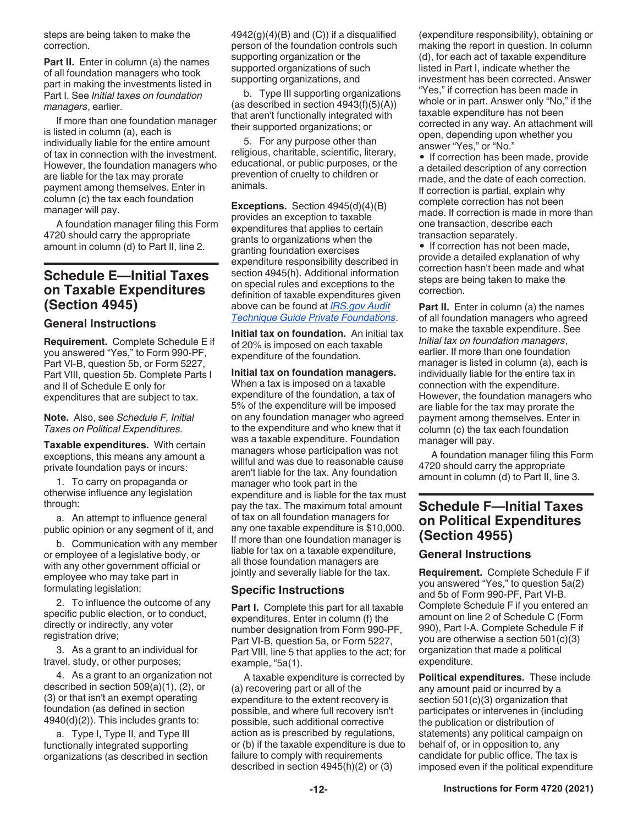<span id="page-11-0"></span>steps are being taken to make the correction.

**Part II.** Enter in column (a) the names of all foundation managers who took part in making the investments listed in Part I. See *Initial taxes on foundation managers*, earlier.

If more than one foundation manager is listed in column (a), each is individually liable for the entire amount of tax in connection with the investment. However, the foundation managers who are liable for the tax may prorate payment among themselves. Enter in column (c) the tax each foundation manager will pay.

A foundation manager filing this Form 4720 should carry the appropriate amount in column (d) to Part II, line 2.

### **Schedule E—Initial Taxes on Taxable Expenditures (Section 4945)**

#### **General Instructions**

**Requirement.** Complete Schedule E if you answered "Yes," to Form 990-PF, Part VI-B, question 5b, or Form 5227, Part VIII, question 5b. Complete Parts I and II of Schedule E only for expenditures that are subject to tax.

**Note.** Also, see *Schedule F, Initial Taxes on Political Expenditures.*

**Taxable expenditures.** With certain exceptions, this means any amount a private foundation pays or incurs:

1. To carry on propaganda or otherwise influence any legislation through:

a. An attempt to influence general public opinion or any segment of it, and

b. Communication with any member or employee of a legislative body, or with any other government official or employee who may take part in formulating legislation;

2. To influence the outcome of any specific public election, or to conduct, directly or indirectly, any voter registration drive;

3. As a grant to an individual for travel, study, or other purposes;

4. As a grant to an organization not described in section 509(a)(1), (2), or (3) or that isn't an exempt operating foundation (as defined in section 4940(d)(2)). This includes grants to:

a. Type I, Type II, and Type III functionally integrated supporting organizations (as described in section  $4942(g)(4)(B)$  and  $(C)$ ) if a disqualified person of the foundation controls such supporting organization or the supported organizations of such supporting organizations, and

b. Type III supporting organizations (as described in section  $4943(f)(5)(A)$ ) that aren't functionally integrated with their supported organizations; or

5. For any purpose other than religious, charitable, scientific, literary, educational, or public purposes, or the prevention of cruelty to children or animals.

**Exceptions.** Section 4945(d)(4)(B) provides an exception to taxable expenditures that applies to certain grants to organizations when the granting foundation exercises expenditure responsibility described in section 4945(h). Additional information on special rules and exceptions to the definition of taxable expenditures given above can be found at *[IRS.gov Audit](https://www.irs.gov/pub/irs-tege/atg_private_foundations.pdf)  [Technique Guide Private Foundations](https://www.irs.gov/pub/irs-tege/atg_private_foundations.pdf)*.

**Initial tax on foundation.** An initial tax of 20% is imposed on each taxable expenditure of the foundation.

**Initial tax on foundation managers.**  When a tax is imposed on a taxable expenditure of the foundation, a tax of 5% of the expenditure will be imposed on any foundation manager who agreed to the expenditure and who knew that it was a taxable expenditure. Foundation managers whose participation was not willful and was due to reasonable cause aren't liable for the tax. Any foundation manager who took part in the expenditure and is liable for the tax must pay the tax. The maximum total amount of tax on all foundation managers for any one taxable expenditure is \$10,000. If more than one foundation manager is liable for tax on a taxable expenditure, all those foundation managers are jointly and severally liable for the tax.

#### **Specific Instructions**

**Part I.** Complete this part for all taxable expenditures. Enter in column (f) the number designation from Form 990-PF, Part VI-B, question 5a, or Form 5227, Part VIII, line 5 that applies to the act; for example, "5a(1).

A taxable expenditure is corrected by (a) recovering part or all of the expenditure to the extent recovery is possible, and where full recovery isn't possible, such additional corrective action as is prescribed by regulations, or (b) if the taxable expenditure is due to failure to comply with requirements described in section 4945(h)(2) or (3)

(expenditure responsibility), obtaining or making the report in question. In column (d), for each act of taxable expenditure listed in Part I, indicate whether the investment has been corrected. Answer "Yes," if correction has been made in whole or in part. Answer only "No," if the taxable expenditure has not been corrected in any way. An attachment will open, depending upon whether you answer "Yes," or "No."

• If correction has been made, provide a detailed description of any correction made, and the date of each correction. If correction is partial, explain why complete correction has not been made. If correction is made in more than one transaction, describe each transaction separately.

• If correction has not been made, provide a detailed explanation of why correction hasn't been made and what steps are being taken to make the correction.

**Part II.** Enter in column (a) the names of all foundation managers who agreed to make the taxable expenditure. See *Initial tax on foundation managers*, earlier. If more than one foundation manager is listed in column (a), each is individually liable for the entire tax in connection with the expenditure. However, the foundation managers who are liable for the tax may prorate the payment among themselves. Enter in column (c) the tax each foundation manager will pay.

A foundation manager filing this Form 4720 should carry the appropriate amount in column (d) to Part II, line 3.

### **Schedule F—Initial Taxes on Political Expenditures (Section 4955)**

#### **General Instructions**

**Requirement.** Complete Schedule F if you answered "Yes," to question 5a(2) and 5b of Form 990-PF, Part VI-B. Complete Schedule F if you entered an amount on line 2 of Schedule C (Form 990), Part I-A. Complete Schedule F if you are otherwise a section 501(c)(3) organization that made a political expenditure.

**Political expenditures.** These include any amount paid or incurred by a section 501(c)(3) organization that participates or intervenes in (including the publication or distribution of statements) any political campaign on behalf of, or in opposition to, any candidate for public office. The tax is imposed even if the political expenditure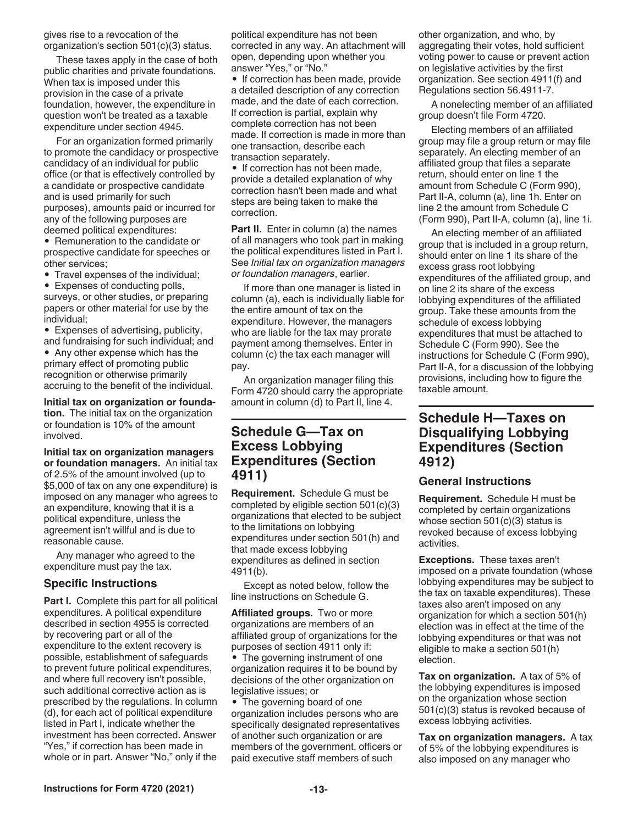#### <span id="page-12-0"></span>gives rise to a revocation of the organization's section 501(c)(3) status.

These taxes apply in the case of both public charities and private foundations. When tax is imposed under this provision in the case of a private foundation, however, the expenditure in question won't be treated as a taxable expenditure under section 4945.

For an organization formed primarily to promote the candidacy or prospective candidacy of an individual for public office (or that is effectively controlled by a candidate or prospective candidate and is used primarily for such purposes), amounts paid or incurred for any of the following purposes are deemed political expenditures:

• Remuneration to the candidate or prospective candidate for speeches or other services;

• Travel expenses of the individual;

• Expenses of conducting polls, surveys, or other studies, or preparing

papers or other material for use by the individual;

• Expenses of advertising, publicity, and fundraising for such individual; and

• Any other expense which has the primary effect of promoting public recognition or otherwise primarily accruing to the benefit of the individual.

**Initial tax on organization or foundation.** The initial tax on the organization or foundation is 10% of the amount involved.

**Initial tax on organization managers or foundation managers.** An initial tax of 2.5% of the amount involved (up to \$5,000 of tax on any one expenditure) is imposed on any manager who agrees to an expenditure, knowing that it is a political expenditure, unless the agreement isn't willful and is due to reasonable cause.

Any manager who agreed to the expenditure must pay the tax.

#### **Specific Instructions**

**Part I.** Complete this part for all political expenditures. A political expenditure described in section 4955 is corrected by recovering part or all of the expenditure to the extent recovery is possible, establishment of safeguards to prevent future political expenditures, and where full recovery isn't possible, such additional corrective action as is prescribed by the regulations. In column (d), for each act of political expenditure listed in Part I, indicate whether the investment has been corrected. Answer "Yes," if correction has been made in whole or in part. Answer "No," only if the

political expenditure has not been corrected in any way. An attachment will open, depending upon whether you answer "Yes," or "No."

• If correction has been made, provide a detailed description of any correction made, and the date of each correction. If correction is partial, explain why complete correction has not been made. If correction is made in more than one transaction, describe each transaction separately.

• If correction has not been made, provide a detailed explanation of why correction hasn't been made and what steps are being taken to make the correction.

**Part II.** Enter in column (a) the names of all managers who took part in making the political expenditures listed in Part I. See *Initial tax on organization managers or foundation managers*, earlier.

If more than one manager is listed in column (a), each is individually liable for the entire amount of tax on the expenditure. However, the managers who are liable for the tax may prorate payment among themselves. Enter in column (c) the tax each manager will pay.

An organization manager filing this Form 4720 should carry the appropriate amount in column (d) to Part II, line 4.

### **Schedule G—Tax on Excess Lobbying Expenditures (Section 4911)**

**Requirement.** Schedule G must be completed by eligible section 501(c)(3) organizations that elected to be subject to the limitations on lobbying expenditures under section 501(h) and that made excess lobbying expenditures as defined in section 4911(b).

Except as noted below, follow the line instructions on Schedule G.

**Affiliated groups.** Two or more organizations are members of an affiliated group of organizations for the purposes of section 4911 only if:

• The governing instrument of one organization requires it to be bound by decisions of the other organization on legislative issues; or

• The governing board of one organization includes persons who are specifically designated representatives of another such organization or are members of the government, officers or paid executive staff members of such

other organization, and who, by aggregating their votes, hold sufficient voting power to cause or prevent action on legislative activities by the first organization. See section 4911(f) and Regulations section 56.4911-7.

A nonelecting member of an affiliated group doesn't file Form 4720.

Electing members of an affiliated group may file a group return or may file separately. An electing member of an affiliated group that files a separate return, should enter on line 1 the amount from Schedule C (Form 990), Part II-A, column (a), line 1h. Enter on line 2 the amount from Schedule C (Form 990), Part II-A, column (a), line 1i.

An electing member of an affiliated group that is included in a group return, should enter on line 1 its share of the excess grass root lobbying expenditures of the affiliated group, and on line 2 its share of the excess lobbying expenditures of the affiliated group. Take these amounts from the schedule of excess lobbying expenditures that must be attached to Schedule C (Form 990). See the instructions for Schedule C (Form 990), Part II-A, for a discussion of the lobbying provisions, including how to figure the taxable amount.

### **Schedule H—Taxes on Disqualifying Lobbying Expenditures (Section 4912)**

#### **General Instructions**

**Requirement.** Schedule H must be completed by certain organizations whose section 501(c)(3) status is revoked because of excess lobbying activities.

**Exceptions.** These taxes aren't imposed on a private foundation (whose lobbying expenditures may be subject to the tax on taxable expenditures). These taxes also aren't imposed on any organization for which a section 501(h) election was in effect at the time of the lobbying expenditures or that was not eligible to make a section 501(h) election.

**Tax on organization.** A tax of 5% of the lobbying expenditures is imposed on the organization whose section 501(c)(3) status is revoked because of excess lobbying activities.

**Tax on organization managers.** A tax of 5% of the lobbying expenditures is also imposed on any manager who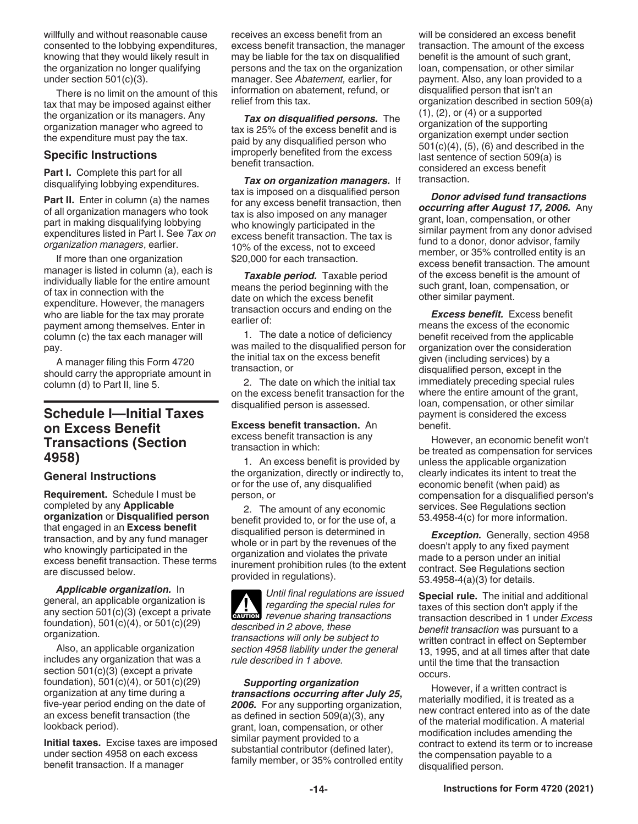<span id="page-13-0"></span>willfully and without reasonable cause consented to the lobbying expenditures, knowing that they would likely result in the organization no longer qualifying under section 501(c)(3).

There is no limit on the amount of this tax that may be imposed against either the organization or its managers. Any organization manager who agreed to the expenditure must pay the tax.

#### **Specific Instructions**

Part I. Complete this part for all disqualifying lobbying expenditures.

**Part II.** Enter in column (a) the names of all organization managers who took part in making disqualifying lobbying expenditures listed in Part I. See *Tax on organization managers*, earlier.

If more than one organization manager is listed in column (a), each is individually liable for the entire amount of tax in connection with the expenditure. However, the managers who are liable for the tax may prorate payment among themselves. Enter in column (c) the tax each manager will pay.

A manager filing this Form 4720 should carry the appropriate amount in column (d) to Part II, line 5.

### **Schedule I—Initial Taxes on Excess Benefit Transactions (Section 4958)**

#### **General Instructions**

**Requirement.** Schedule I must be completed by any **Applicable organization** or **Disqualified person**  that engaged in an **Excess benefit**  transaction, and by any fund manager who knowingly participated in the excess benefit transaction. These terms are discussed below.

*Applicable organization.* In general, an applicable organization is any section 501(c)(3) (except a private foundation), 501(c)(4), or 501(c)(29) organization.

Also, an applicable organization includes any organization that was a section 501(c)(3) (except a private foundation), 501(c)(4), or 501(c)(29) organization at any time during a five-year period ending on the date of an excess benefit transaction (the lookback period).

**Initial taxes.** Excise taxes are imposed under section 4958 on each excess benefit transaction. If a manager

receives an excess benefit from an excess benefit transaction, the manager may be liable for the tax on disqualified persons and the tax on the organization manager. See *Abatement,* earlier, for information on abatement, refund, or relief from this tax.

*Tax on disqualified persons.* The tax is 25% of the excess benefit and is paid by any disqualified person who improperly benefited from the excess benefit transaction.

*Tax on organization managers.* If tax is imposed on a disqualified person for any excess benefit transaction, then tax is also imposed on any manager who knowingly participated in the excess benefit transaction. The tax is 10% of the excess, not to exceed \$20,000 for each transaction.

*Taxable period.* Taxable period means the period beginning with the date on which the excess benefit transaction occurs and ending on the earlier of:

1. The date a notice of deficiency was mailed to the disqualified person for the initial tax on the excess benefit transaction, or

2. The date on which the initial tax on the excess benefit transaction for the disqualified person is assessed.

**Excess benefit transaction.** An excess benefit transaction is any transaction in which:

1. An excess benefit is provided by the organization, directly or indirectly to, or for the use of, any disqualified person, or

2. The amount of any economic benefit provided to, or for the use of, a disqualified person is determined in whole or in part by the revenues of the organization and violates the private inurement prohibition rules (to the extent provided in regulations).

*Until final regulations are issued regarding the special rules for*  **Property and** *regarding the special rules for* $\frac{1}{2}$ *revenue sharing transactions described in 2 above, these transactions will only be subject to section 4958 liability under the general rule described in 1 above.*

*Supporting organization transactions occurring after July 25, 2006.* For any supporting organization, as defined in section 509(a)(3), any grant, loan, compensation, or other similar payment provided to a substantial contributor (defined later), family member, or 35% controlled entity will be considered an excess benefit transaction. The amount of the excess benefit is the amount of such grant, loan, compensation, or other similar payment. Also, any loan provided to a disqualified person that isn't an organization described in section 509(a)  $(1)$ ,  $(2)$ , or  $(4)$  or a supported organization of the supporting organization exempt under section 501(c)(4), (5), (6) and described in the last sentence of section 509(a) is considered an excess benefit transaction.

*Donor advised fund transactions occurring after August 17, 2006.* Any grant, loan, compensation, or other similar payment from any donor advised fund to a donor, donor advisor, family member, or 35% controlled entity is an excess benefit transaction. The amount of the excess benefit is the amount of such grant, loan, compensation, or other similar payment.

*Excess benefit.* Excess benefit means the excess of the economic benefit received from the applicable organization over the consideration given (including services) by a disqualified person, except in the immediately preceding special rules where the entire amount of the grant, loan, compensation, or other similar payment is considered the excess benefit.

However, an economic benefit won't be treated as compensation for services unless the applicable organization clearly indicates its intent to treat the economic benefit (when paid) as compensation for a disqualified person's services. See Regulations section 53.4958-4(c) for more information.

*Exception.* Generally, section 4958 doesn't apply to any fixed payment made to a person under an initial contract. See Regulations section 53.4958-4(a)(3) for details.

**Special rule.** The initial and additional taxes of this section don't apply if the transaction described in 1 under *Excess benefit transaction* was pursuant to a written contract in effect on September 13, 1995, and at all times after that date until the time that the transaction occurs.

However, if a written contract is materially modified, it is treated as a new contract entered into as of the date of the material modification. A material modification includes amending the contract to extend its term or to increase the compensation payable to a disqualified person.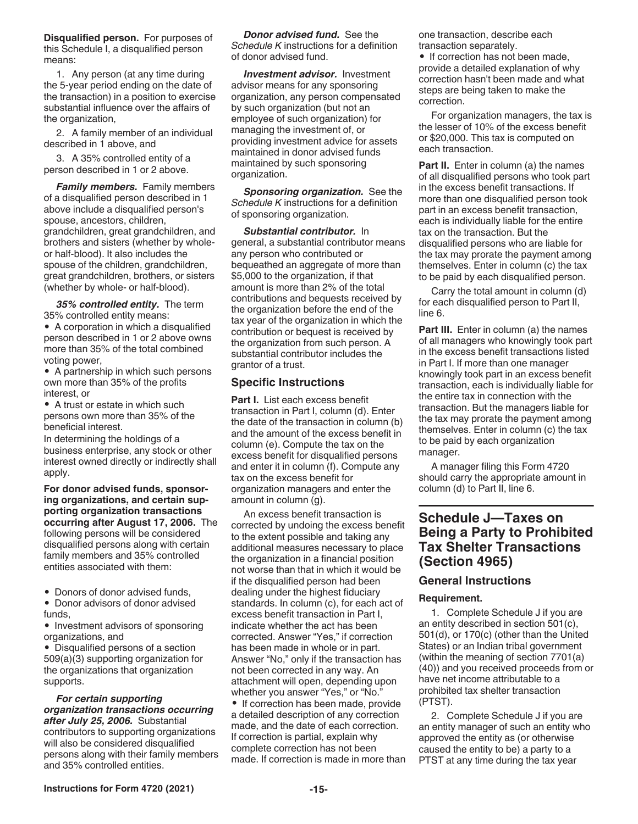<span id="page-14-0"></span>**Disqualified person.** For purposes of this Schedule I, a disqualified person means:

1. Any person (at any time during the 5-year period ending on the date of the transaction) in a position to exercise substantial influence over the affairs of the organization,

2. A family member of an individual described in 1 above, and

3. A 35% controlled entity of a person described in 1 or 2 above.

*Family members.* Family members of a disqualified person described in 1 above include a disqualified person's spouse, ancestors, children, grandchildren, great grandchildren, and brothers and sisters (whether by wholeor half-blood). It also includes the spouse of the children, grandchildren, great grandchildren, brothers, or sisters (whether by whole- or half-blood).

*35% controlled entity.* The term 35% controlled entity means:

• A corporation in which a disqualified person described in 1 or 2 above owns more than 35% of the total combined voting power,

• A partnership in which such persons own more than 35% of the profits interest, or

• A trust or estate in which such persons own more than 35% of the beneficial interest.

In determining the holdings of a business enterprise, any stock or other interest owned directly or indirectly shall apply.

**For donor advised funds, sponsoring organizations, and certain supporting organization transactions occurring after August 17, 2006.** The following persons will be considered disqualified persons along with certain family members and 35% controlled entities associated with them:

• Donors of donor advised funds.

• Donor advisors of donor advised funds,

• Investment advisors of sponsoring organizations, and

• Disqualified persons of a section 509(a)(3) supporting organization for the organizations that organization supports.

*For certain supporting organization transactions occurring after July 25, 2006.* Substantial contributors to supporting organizations will also be considered disqualified persons along with their family members and 35% controlled entities.

*Donor advised fund.* See the *Schedule K* instructions for a definition of donor advised fund.

*Investment advisor.* Investment advisor means for any sponsoring organization, any person compensated by such organization (but not an employee of such organization) for managing the investment of, or providing investment advice for assets maintained in donor advised funds maintained by such sponsoring organization.

*Sponsoring organization.* See the *Schedule K* instructions for a definition of sponsoring organization.

*Substantial contributor.* In general, a substantial contributor means any person who contributed or bequeathed an aggregate of more than \$5,000 to the organization, if that amount is more than 2% of the total contributions and bequests received by the organization before the end of the tax year of the organization in which the contribution or bequest is received by the organization from such person. A substantial contributor includes the grantor of a trust.

#### **Specific Instructions**

Part I. List each excess benefit transaction in Part I, column (d). Enter the date of the transaction in column (b) and the amount of the excess benefit in column (e). Compute the tax on the excess benefit for disqualified persons and enter it in column (f). Compute any tax on the excess benefit for organization managers and enter the amount in column (g).

An excess benefit transaction is corrected by undoing the excess benefit to the extent possible and taking any additional measures necessary to place the organization in a financial position not worse than that in which it would be if the disqualified person had been dealing under the highest fiduciary standards. In column (c), for each act of excess benefit transaction in Part I, indicate whether the act has been corrected. Answer "Yes," if correction has been made in whole or in part. Answer "No," only if the transaction has not been corrected in any way. An attachment will open, depending upon whether you answer "Yes," or "No."

• If correction has been made, provide a detailed description of any correction made, and the date of each correction. If correction is partial, explain why complete correction has not been made. If correction is made in more than one transaction, describe each transaction separately.

• If correction has not been made, provide a detailed explanation of why correction hasn't been made and what steps are being taken to make the correction.

For organization managers, the tax is the lesser of 10% of the excess benefit or \$20,000. This tax is computed on each transaction.

**Part II.** Enter in column (a) the names of all disqualified persons who took part in the excess benefit transactions. If more than one disqualified person took part in an excess benefit transaction, each is individually liable for the entire tax on the transaction. But the disqualified persons who are liable for the tax may prorate the payment among themselves. Enter in column (c) the tax to be paid by each disqualified person.

Carry the total amount in column (d) for each disqualified person to Part II, line 6.

**Part III.** Enter in column (a) the names of all managers who knowingly took part in the excess benefit transactions listed in Part I. If more than one manager knowingly took part in an excess benefit transaction, each is individually liable for the entire tax in connection with the transaction. But the managers liable for the tax may prorate the payment among themselves. Enter in column (c) the tax to be paid by each organization manager.

A manager filing this Form 4720 should carry the appropriate amount in column (d) to Part II, line 6.

### **Schedule J—Taxes on Being a Party to Prohibited Tax Shelter Transactions (Section 4965)**

### **General Instructions**

#### **Requirement.**

1. Complete Schedule J if you are an entity described in section 501(c), 501(d), or 170(c) (other than the United States) or an Indian tribal government (within the meaning of section 7701(a) (40)) and you received proceeds from or have net income attributable to a prohibited tax shelter transaction (PTST).

2. Complete Schedule J if you are an entity manager of such an entity who approved the entity as (or otherwise caused the entity to be) a party to a PTST at any time during the tax year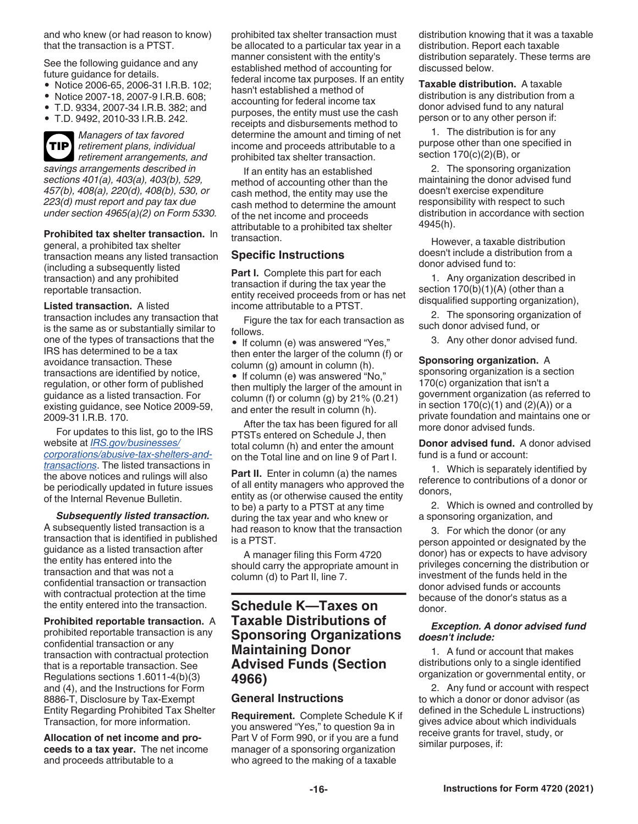<span id="page-15-0"></span>and who knew (or had reason to know) that the transaction is a PTST.

See the following guidance and any future guidance for details.

- Notice 2006-65, 2006-31 I.R.B. 102;
- Notice 2007-18, 2007-9 I.R.B. 608;
- T.D. 9334, 2007-34 I.R.B. 382; and
- T.D. 9492, 2010-33 I.R.B. 242.



*Managers of tax favored retirement plans, individual*  **TIP** *retirement arrangements, and savings arrangements described in sections 401(a), 403(a), 403(b), 529, 457(b), 408(a), 220(d), 408(b), 530, or 223(d) must report and pay tax due under section 4965(a)(2) on Form 5330.*

**Prohibited tax shelter transaction.** In general, a prohibited tax shelter transaction means any listed transaction (including a subsequently listed transaction) and any prohibited reportable transaction.

**Listed transaction.** A listed transaction includes any transaction that is the same as or substantially similar to one of the types of transactions that the IRS has determined to be a tax avoidance transaction. These transactions are identified by notice, regulation, or other form of published guidance as a listed transaction. For existing guidance, see Notice 2009-59, 2009-31 I.R.B. 170.

For updates to this list, go to the IRS website at *[IRS.gov/businesses/](https://www.irs.gov/businesses/corporations/abusive-tax-shelters-and-transactions) [corporations/abusive-tax-shelters-and](https://www.irs.gov/businesses/corporations/abusive-tax-shelters-and-transactions)[transactions](https://www.irs.gov/businesses/corporations/abusive-tax-shelters-and-transactions)*. The listed transactions in the above notices and rulings will also be periodically updated in future issues of the Internal Revenue Bulletin.

*Subsequently listed transaction.*  A subsequently listed transaction is a transaction that is identified in published guidance as a listed transaction after the entity has entered into the transaction and that was not a confidential transaction or transaction with contractual protection at the time the entity entered into the transaction.

#### **Prohibited reportable transaction.** A

prohibited reportable transaction is any confidential transaction or any transaction with contractual protection that is a reportable transaction. See Regulations sections 1.6011-4(b)(3) and (4), and the Instructions for Form 8886-T, Disclosure by Tax-Exempt Entity Regarding Prohibited Tax Shelter Transaction, for more information.

**Allocation of net income and proceeds to a tax year.** The net income and proceeds attributable to a

prohibited tax shelter transaction must be allocated to a particular tax year in a manner consistent with the entity's established method of accounting for federal income tax purposes. If an entity hasn't established a method of accounting for federal income tax purposes, the entity must use the cash receipts and disbursements method to determine the amount and timing of net income and proceeds attributable to a prohibited tax shelter transaction.

If an entity has an established method of accounting other than the cash method, the entity may use the cash method to determine the amount of the net income and proceeds attributable to a prohibited tax shelter transaction.

#### **Specific Instructions**

Part I. Complete this part for each transaction if during the tax year the entity received proceeds from or has net income attributable to a PTST.

Figure the tax for each transaction as follows.

• If column (e) was answered "Yes," then enter the larger of the column (f) or column (g) amount in column (h).

• If column (e) was answered "No," then multiply the larger of the amount in column (f) or column (g) by  $21\%$  (0.21) and enter the result in column (h).

After the tax has been figured for all PTSTs entered on Schedule J, then total column (h) and enter the amount on the Total line and on line 9 of Part I.

**Part II.** Enter in column (a) the names of all entity managers who approved the entity as (or otherwise caused the entity to be) a party to a PTST at any time during the tax year and who knew or had reason to know that the transaction is a PTST.

A manager filing this Form 4720 should carry the appropriate amount in column (d) to Part II, line 7.

### **Schedule K—Taxes on Taxable Distributions of Sponsoring Organizations Maintaining Donor Advised Funds (Section 4966)**

#### **General Instructions**

**Requirement.** Complete Schedule K if you answered "Yes," to question 9a in Part V of Form 990, or if you are a fund manager of a sponsoring organization who agreed to the making of a taxable

distribution knowing that it was a taxable distribution. Report each taxable distribution separately. These terms are discussed below.

**Taxable distribution.** A taxable distribution is any distribution from a donor advised fund to any natural person or to any other person if:

1. The distribution is for any purpose other than one specified in section 170(c)(2)(B), or

2. The sponsoring organization maintaining the donor advised fund doesn't exercise expenditure responsibility with respect to such distribution in accordance with section 4945(h).

However, a taxable distribution doesn't include a distribution from a donor advised fund to:

1. Any organization described in section 170(b)(1)(A) (other than a disqualified supporting organization),

2. The sponsoring organization of such donor advised fund, or

3. Any other donor advised fund.

#### **Sponsoring organization.** A

sponsoring organization is a section 170(c) organization that isn't a government organization (as referred to in section  $170(c)(1)$  and  $(2)(A)$ ) or a private foundation and maintains one or more donor advised funds.

**Donor advised fund.** A donor advised fund is a fund or account:

1. Which is separately identified by reference to contributions of a donor or donors,

2. Which is owned and controlled by a sponsoring organization, and

3. For which the donor (or any person appointed or designated by the donor) has or expects to have advisory privileges concerning the distribution or investment of the funds held in the donor advised funds or accounts because of the donor's status as a donor.

#### *Exception. A donor advised fund doesn't include:*

1. A fund or account that makes distributions only to a single identified organization or governmental entity, or

2. Any fund or account with respect to which a donor or donor advisor (as defined in the Schedule L instructions) gives advice about which individuals receive grants for travel, study, or similar purposes, if: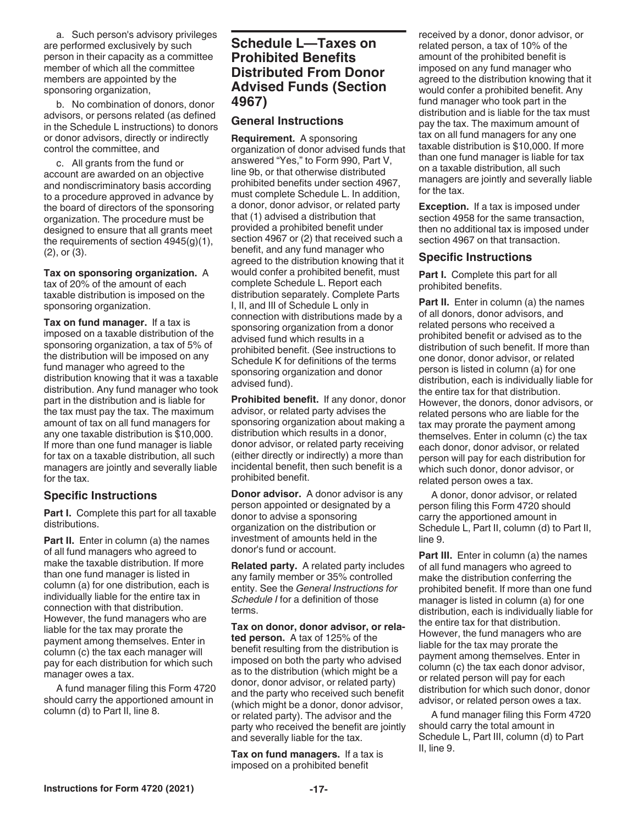<span id="page-16-0"></span>a. Such person's advisory privileges are performed exclusively by such person in their capacity as a committee member of which all the committee members are appointed by the sponsoring organization,

b. No combination of donors, donor advisors, or persons related (as defined in the Schedule L instructions) to donors or donor advisors, directly or indirectly control the committee, and

c. All grants from the fund or account are awarded on an objective and nondiscriminatory basis according to a procedure approved in advance by the board of directors of the sponsoring organization. The procedure must be designed to ensure that all grants meet the requirements of section 4945(g)(1), (2), or (3).

**Tax on sponsoring organization.** A tax of 20% of the amount of each taxable distribution is imposed on the sponsoring organization.

**Tax on fund manager.** If a tax is imposed on a taxable distribution of the sponsoring organization, a tax of 5% of the distribution will be imposed on any fund manager who agreed to the distribution knowing that it was a taxable distribution. Any fund manager who took part in the distribution and is liable for the tax must pay the tax. The maximum amount of tax on all fund managers for any one taxable distribution is \$10,000. If more than one fund manager is liable for tax on a taxable distribution, all such managers are jointly and severally liable for the tax.

#### **Specific Instructions**

**Part I.** Complete this part for all taxable distributions.

**Part II.** Enter in column (a) the names of all fund managers who agreed to make the taxable distribution. If more than one fund manager is listed in column (a) for one distribution, each is individually liable for the entire tax in connection with that distribution. However, the fund managers who are liable for the tax may prorate the payment among themselves. Enter in column (c) the tax each manager will pay for each distribution for which such manager owes a tax.

A fund manager filing this Form 4720 should carry the apportioned amount in column (d) to Part II, line 8.

### **Schedule L—Taxes on Prohibited Benefits Distributed From Donor Advised Funds (Section 4967)**

#### **General Instructions**

**Requirement.** A sponsoring organization of donor advised funds that answered "Yes," to Form 990, Part V, line 9b, or that otherwise distributed prohibited benefits under section 4967, must complete Schedule L. In addition, a donor, donor advisor, or related party that (1) advised a distribution that provided a prohibited benefit under section 4967 or (2) that received such a benefit, and any fund manager who agreed to the distribution knowing that it would confer a prohibited benefit, must complete Schedule L. Report each distribution separately. Complete Parts I, II, and III of Schedule L only in connection with distributions made by a sponsoring organization from a donor advised fund which results in a prohibited benefit. (See instructions to Schedule K for definitions of the terms sponsoring organization and donor advised fund).

**Prohibited benefit.** If any donor, donor advisor, or related party advises the sponsoring organization about making a distribution which results in a donor, donor advisor, or related party receiving (either directly or indirectly) a more than incidental benefit, then such benefit is a prohibited benefit.

**Donor advisor.** A donor advisor is any person appointed or designated by a donor to advise a sponsoring organization on the distribution or investment of amounts held in the donor's fund or account.

**Related party.** A related party includes any family member or 35% controlled entity. See the *General Instructions for Schedule I* for a definition of those terms.

**Tax on donor, donor advisor, or related person.** A tax of 125% of the benefit resulting from the distribution is imposed on both the party who advised as to the distribution (which might be a donor, donor advisor, or related party) and the party who received such benefit (which might be a donor, donor advisor, or related party). The advisor and the party who received the benefit are jointly and severally liable for the tax.

**Tax on fund managers.** If a tax is imposed on a prohibited benefit

received by a donor, donor advisor, or related person, a tax of 10% of the amount of the prohibited benefit is imposed on any fund manager who agreed to the distribution knowing that it would confer a prohibited benefit. Any fund manager who took part in the distribution and is liable for the tax must pay the tax. The maximum amount of tax on all fund managers for any one taxable distribution is \$10,000. If more than one fund manager is liable for tax on a taxable distribution, all such managers are jointly and severally liable for the tax.

**Exception.** If a tax is imposed under section 4958 for the same transaction, then no additional tax is imposed under section 4967 on that transaction.

#### **Specific Instructions**

Part I. Complete this part for all prohibited benefits.

**Part II.** Enter in column (a) the names of all donors, donor advisors, and related persons who received a prohibited benefit or advised as to the distribution of such benefit. If more than one donor, donor advisor, or related person is listed in column (a) for one distribution, each is individually liable for the entire tax for that distribution. However, the donors, donor advisors, or related persons who are liable for the tax may prorate the payment among themselves. Enter in column (c) the tax each donor, donor advisor, or related person will pay for each distribution for which such donor, donor advisor, or related person owes a tax.

A donor, donor advisor, or related person filing this Form 4720 should carry the apportioned amount in Schedule L, Part II, column (d) to Part II, line 9.

**Part III.** Enter in column (a) the names of all fund managers who agreed to make the distribution conferring the prohibited benefit. If more than one fund manager is listed in column (a) for one distribution, each is individually liable for the entire tax for that distribution. However, the fund managers who are liable for the tax may prorate the payment among themselves. Enter in column (c) the tax each donor advisor, or related person will pay for each distribution for which such donor, donor advisor, or related person owes a tax.

A fund manager filing this Form 4720 should carry the total amount in Schedule L, Part III, column (d) to Part II, line 9.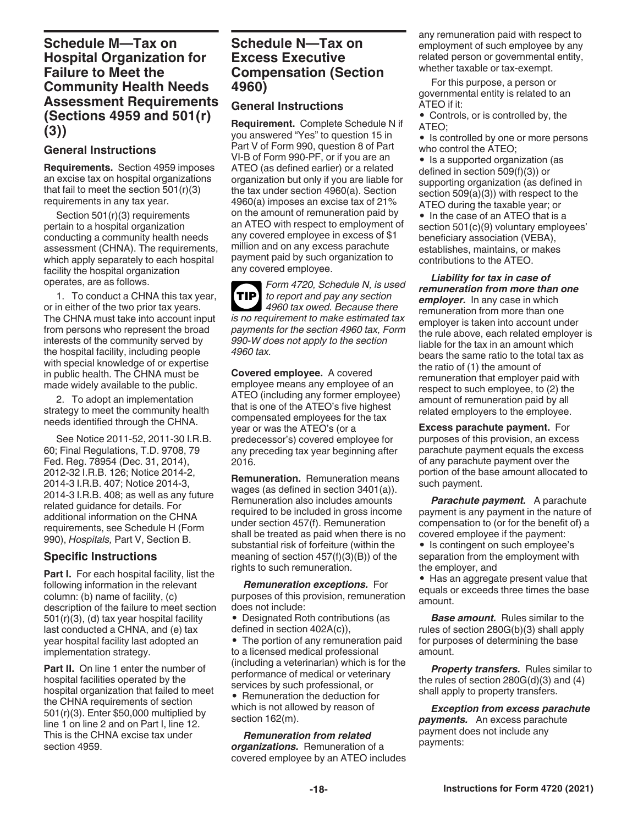### <span id="page-17-0"></span>**Schedule M—Tax on Hospital Organization for Failure to Meet the Community Health Needs Assessment Requirements (Sections 4959 and 501(r) (3))**

#### **General Instructions**

**Requirements.** Section 4959 imposes an excise tax on hospital organizations that fail to meet the section  $501(r)(3)$ requirements in any tax year.

Section 501(r)(3) requirements pertain to a hospital organization conducting a community health needs assessment (CHNA). The requirements, which apply separately to each hospital facility the hospital organization operates, are as follows.

1. To conduct a CHNA this tax year, or in either of the two prior tax years. The CHNA must take into account input from persons who represent the broad interests of the community served by the hospital facility, including people with special knowledge of or expertise in public health. The CHNA must be made widely available to the public.

2. To adopt an implementation strategy to meet the community health needs identified through the CHNA.

See Notice 2011-52, 2011-30 I.R.B. 60; Final Regulations, T.D. 9708, 79 Fed. Reg. 78954 (Dec. 31, 2014), 2012-32 I.R.B. 126; Notice 2014-2, 2014-3 I.R.B. 407; Notice 2014-3, 2014-3 I.R.B. 408; as well as any future related guidance for details. For additional information on the CHNA requirements, see Schedule H (Form 990), *Hospitals,* Part V, Section B.

#### **Specific Instructions**

**Part I.** For each hospital facility, list the following information in the relevant column: (b) name of facility, (c) description of the failure to meet section 501(r)(3), (d) tax year hospital facility last conducted a CHNA, and (e) tax year hospital facility last adopted an implementation strategy.

**Part II.** On line 1 enter the number of hospital facilities operated by the hospital organization that failed to meet the CHNA requirements of section 501(r)(3). Enter \$50,000 multiplied by line 1 on line 2 and on Part I, line 12. This is the CHNA excise tax under section 4959.

### **Schedule N—Tax on Excess Executive Compensation (Section 4960)**

#### **General Instructions**

**Requirement.** Complete Schedule N if you answered "Yes" to question 15 in Part V of Form 990, question 8 of Part VI-B of Form 990-PF, or if you are an ATEO (as defined earlier) or a related organization but only if you are liable for the tax under section 4960(a). Section 4960(a) imposes an excise tax of 21% on the amount of remuneration paid by an ATEO with respect to employment of any covered employee in excess of \$1 million and on any excess parachute payment paid by such organization to any covered employee.

*Form 4720, Schedule N, is used to report and pay any section 4960 tax owed. Because there is no requirement to make estimated tax payments for the section 4960 tax, Form 990-W does not apply to the section 4960 tax.* **TIP**

**Covered employee.** A covered employee means any employee of an ATEO (including any former employee) that is one of the ATEO's five highest compensated employees for the tax year or was the ATEO's (or a predecessor's) covered employee for any preceding tax year beginning after 2016.

**Remuneration.** Remuneration means wages (as defined in section 3401(a)). Remuneration also includes amounts required to be included in gross income under section 457(f). Remuneration shall be treated as paid when there is no substantial risk of forfeiture (within the meaning of section 457(f)(3)(B)) of the rights to such remuneration.

*Remuneration exceptions.* For purposes of this provision, remuneration does not include:

• Designated Roth contributions (as defined in section 402A(c)),

• The portion of any remuneration paid to a licensed medical professional (including a veterinarian) which is for the performance of medical or veterinary services by such professional, or • Remuneration the deduction for

which is not allowed by reason of section 162(m). *Remuneration from related* 

*organizations.* Remuneration of a covered employee by an ATEO includes any remuneration paid with respect to employment of such employee by any related person or governmental entity, whether taxable or tax-exempt.

For this purpose, a person or governmental entity is related to an ATEO if it:

• Controls, or is controlled by, the ATEO;

• Is controlled by one or more persons who control the ATEO;

• Is a supported organization (as defined in section 509(f)(3)) or supporting organization (as defined in section 509(a)(3)) with respect to the ATEO during the taxable year; or

• In the case of an ATEO that is a section 501(c)(9) voluntary employees' beneficiary association (VEBA), establishes, maintains, or makes contributions to the ATEO.

*Liability for tax in case of remuneration from more than one employer.* In any case in which remuneration from more than one employer is taken into account under the rule above, each related employer is liable for the tax in an amount which bears the same ratio to the total tax as the ratio of (1) the amount of remuneration that employer paid with respect to such employee, to (2) the amount of remuneration paid by all related employers to the employee.

**Excess parachute payment.** For purposes of this provision, an excess parachute payment equals the excess of any parachute payment over the portion of the base amount allocated to such payment.

**Parachute payment.** A parachute payment is any payment in the nature of compensation to (or for the benefit of) a covered employee if the payment:

• Is contingent on such employee's separation from the employment with the employer, and

• Has an aggregate present value that equals or exceeds three times the base amount.

*Base amount.* Rules similar to the rules of section 280G(b)(3) shall apply for purposes of determining the base amount.

**Property transfers.** Rules similar to the rules of section  $280G(d)(3)$  and  $(4)$ shall apply to property transfers.

*Exception from excess parachute payments.* An excess parachute payment does not include any payments: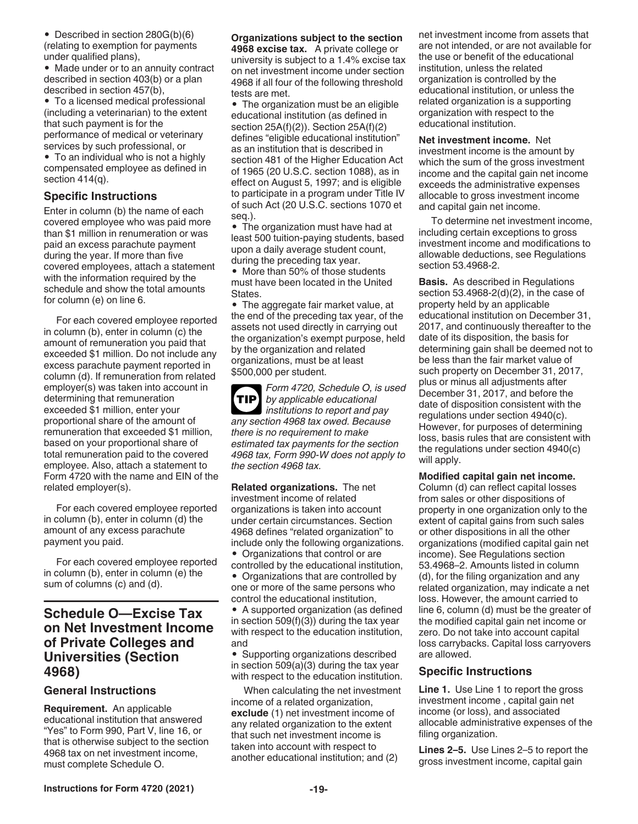<span id="page-18-0"></span>• Described in section 280G(b)(6) (relating to exemption for payments under qualified plans),

• Made under or to an annuity contract described in section 403(b) or a plan described in section 457(b),

• To a licensed medical professional (including a veterinarian) to the extent that such payment is for the performance of medical or veterinary services by such professional, or

• To an individual who is not a highly compensated employee as defined in section 414(q).

#### **Specific Instructions**

Enter in column (b) the name of each covered employee who was paid more than \$1 million in renumeration or was paid an excess parachute payment during the year. If more than five covered employees, attach a statement with the information required by the schedule and show the total amounts for column (e) on line 6.

For each covered employee reported in column (b), enter in column (c) the amount of remuneration you paid that exceeded \$1 million. Do not include any excess parachute payment reported in column (d). If remuneration from related employer(s) was taken into account in determining that remuneration exceeded \$1 million, enter your proportional share of the amount of remuneration that exceeded \$1 million, based on your proportional share of total remuneration paid to the covered employee. Also, attach a statement to Form 4720 with the name and EIN of the related employer(s).

For each covered employee reported in column (b), enter in column (d) the amount of any excess parachute payment you paid.

For each covered employee reported in column (b), enter in column (e) the sum of columns (c) and (d).

### **Schedule O—Excise Tax on Net Investment Income of Private Colleges and Universities (Section 4968)**

#### **General Instructions**

**Requirement.** An applicable educational institution that answered "Yes" to Form 990, Part V, line 16, or that is otherwise subject to the section 4968 tax on net investment income, must complete Schedule O.

#### **Organizations subject to the section**

**4968 excise tax.** A private college or university is subject to a 1.4% excise tax on net investment income under section 4968 if all four of the following threshold tests are met.

• The organization must be an eligible educational institution (as defined in section 25A(f)(2)). Section 25A(f)(2) defines "eligible educational institution" as an institution that is described in section 481 of the Higher Education Act of 1965 (20 U.S.C. section 1088), as in effect on August 5, 1997; and is eligible to participate in a program under Title IV of such Act (20 U.S.C. sections 1070 et seq.).

• The organization must have had at least 500 tuition-paying students, based upon a daily average student count, during the preceding tax year.

• More than 50% of those students must have been located in the United States.

• The aggregate fair market value, at the end of the preceding tax year, of the assets not used directly in carrying out the organization's exempt purpose, held by the organization and related organizations, must be at least \$500,000 per student.

*Form 4720, Schedule O, is used by applicable educational institutions to report and pay any section 4968 tax owed. Because there is no requirement to make estimated tax payments for the section 4968 tax, Form 990-W does not apply to the section 4968 tax.* **TIP**

**Related organizations.** The net investment income of related organizations is taken into account under certain circumstances. Section 4968 defines "related organization" to include only the following organizations. • Organizations that control or are

controlled by the educational institution, • Organizations that are controlled by one or more of the same persons who control the educational institution,

• A supported organization (as defined in section 509(f)(3)) during the tax year with respect to the education institution, and

• Supporting organizations described in section 509(a)(3) during the tax year with respect to the education institution.

When calculating the net investment income of a related organization, **exclude** (1) net investment income of any related organization to the extent that such net investment income is taken into account with respect to another educational institution; and (2)

net investment income from assets that are not intended, or are not available for the use or benefit of the educational institution, unless the related organization is controlled by the educational institution, or unless the related organization is a supporting organization with respect to the educational institution.

**Net investment income.** Net investment income is the amount by which the sum of the gross investment income and the capital gain net income exceeds the administrative expenses allocable to gross investment income and capital gain net income.

To determine net investment income, including certain exceptions to gross investment income and modifications to allowable deductions, see Regulations section 53.4968-2.

**Basis.** As described in Regulations section 53.4968-2(d)(2), in the case of property held by an applicable educational institution on December 31, 2017, and continuously thereafter to the date of its disposition, the basis for determining gain shall be deemed not to be less than the fair market value of such property on December 31, 2017, plus or minus all adjustments after December 31, 2017, and before the date of disposition consistent with the regulations under section 4940(c). However, for purposes of determining loss, basis rules that are consistent with the regulations under section 4940(c) will apply.

**Modified capital gain net income.** 

Column (d) can reflect capital losses from sales or other dispositions of property in one organization only to the extent of capital gains from such sales or other dispositions in all the other organizations (modified capital gain net income). See Regulations section 53.4968–2. Amounts listed in column (d), for the filing organization and any related organization, may indicate a net loss. However, the amount carried to line 6, column (d) must be the greater of the modified capital gain net income or zero. Do not take into account capital loss carrybacks. Capital loss carryovers are allowed.

#### **Specific Instructions**

**Line 1.** Use Line 1 to report the gross investment income , capital gain net income (or loss), and associated allocable administrative expenses of the filing organization.

**Lines 2–5.** Use Lines 2–5 to report the gross investment income, capital gain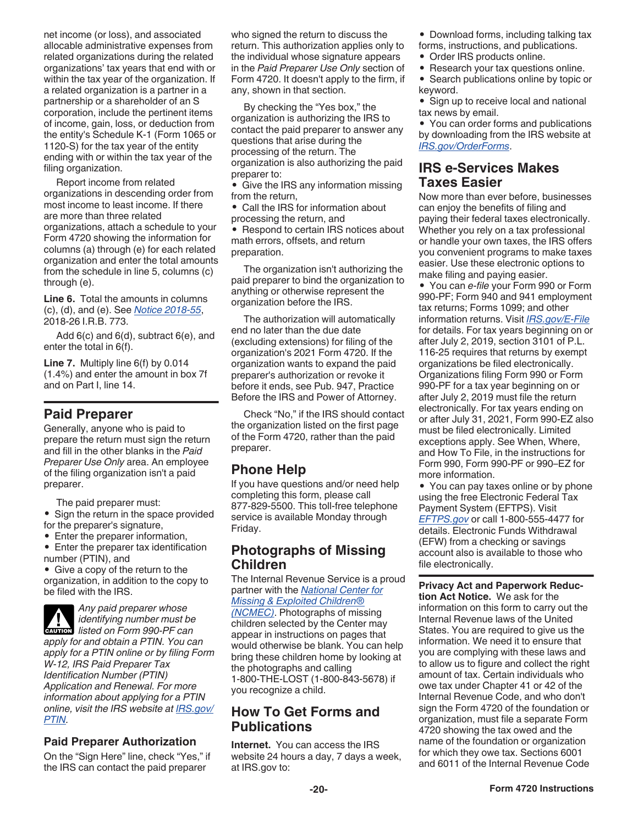<span id="page-19-0"></span>net income (or loss), and associated allocable administrative expenses from related organizations during the related organizations' tax years that end with or within the tax year of the organization. If a related organization is a partner in a partnership or a shareholder of an S corporation, include the pertinent items of income, gain, loss, or deduction from the entity's Schedule K-1 (Form 1065 or 1120-S) for the tax year of the entity ending with or within the tax year of the filing organization.

Report income from related organizations in descending order from most income to least income. If there are more than three related organizations, attach a schedule to your Form 4720 showing the information for columns (a) through (e) for each related organization and enter the total amounts from the schedule in line 5, columns (c) through (e).

**Line 6.** Total the amounts in columns (c), (d), and (e). See *[Notice 2018-55](https://www.irs.gov/pub/irs-drop/n-18-55.pdf)*, 2018-26 I.R.B. 773.

Add 6(c) and 6(d), subtract 6(e), and enter the total in 6(f).

**Line 7.** Multiply line 6(f) by 0.014 (1.4%) and enter the amount in box 7f and on Part I, line 14.

### **Paid Preparer**

Generally, anyone who is paid to prepare the return must sign the return and fill in the other blanks in the *Paid Preparer Use Only* area. An employee of the filing organization isn't a paid preparer.

The paid preparer must:

• Sign the return in the space provided for the preparer's signature,

- Enter the preparer information,
- Enter the preparer tax identification number (PTIN), and

• Give a copy of the return to the organization, in addition to the copy to be filed with the IRS.

*Any paid preparer whose identifying number must be lidentifying number must be*<br> *listed on Form 990-PF can apply for and obtain a PTIN. You can apply for a PTIN online or by filing Form W-12, IRS Paid Preparer Tax Identification Number (PTIN) Application and Renewal. For more information about applying for a PTIN online, visit the IRS website at [IRS.gov/](https://www.irs.gov/ptin) [PTIN](https://www.irs.gov/ptin).*

### **Paid Preparer Authorization**

On the "Sign Here" line, check "Yes," if the IRS can contact the paid preparer

who signed the return to discuss the return. This authorization applies only to the individual whose signature appears in the *Paid Preparer Use Only* section of Form 4720. It doesn't apply to the firm, if any, shown in that section.

By checking the "Yes box," the organization is authorizing the IRS to contact the paid preparer to answer any questions that arise during the processing of the return. The organization is also authorizing the paid preparer to:

• Give the IRS any information missing from the return,

• Call the IRS for information about processing the return, and

• Respond to certain IRS notices about math errors, offsets, and return preparation.

The organization isn't authorizing the paid preparer to bind the organization to anything or otherwise represent the organization before the IRS.

The authorization will automatically end no later than the due date (excluding extensions) for filing of the organization's 2021 Form 4720. If the organization wants to expand the paid preparer's authorization or revoke it before it ends, see Pub. 947, Practice Before the IRS and Power of Attorney.

Check "No," if the IRS should contact the organization listed on the first page of the Form 4720, rather than the paid preparer.

### **Phone Help**

If you have questions and/or need help completing this form, please call 877-829-5500. This toll-free telephone service is available Monday through Friday.

### **Photographs of Missing Children**

The Internal Revenue Service is a proud partner with the *[National Center for](http://www.missingkids.com/home)  [Missing & Exploited Children®](http://www.missingkids.com/home)* 

*[\(NCMEC\)](http://www.missingkids.com/home)*. Photographs of missing children selected by the Center may appear in instructions on pages that would otherwise be blank. You can help bring these children home by looking at the photographs and calling 1-800-THE-LOST (1-800-843-5678) if you recognize a child.

### **How To Get Forms and Publications**

**Internet.** You can access the IRS website 24 hours a day, 7 days a week, at IRS.gov to:

• Download forms, including talking tax

- forms, instructions, and publications.
- Order IRS products online.
- Research your tax questions online.
- Search publications online by topic or keyword.

• Sign up to receive local and national tax news by email.

• You can order forms and publications by downloading from the IRS website at *[IRS.gov/OrderForms](https://www.irs.gov/orderforms)*.

### **IRS e-Services Makes Taxes Easier**

Now more than ever before, businesses can enjoy the benefits of filing and paying their federal taxes electronically. Whether you rely on a tax professional or handle your own taxes, the IRS offers you convenient programs to make taxes easier. Use these electronic options to make filing and paying easier.

• You can *e-file* your Form 990 or Form 990-PF; Form 940 and 941 employment tax returns; Forms 1099; and other information returns. Visit *[IRS.gov/E-File](https://www.irs.gov/efile)*  for details. For tax years beginning on or after July 2, 2019, section 3101 of P.L. 116-25 requires that returns by exempt organizations be filed electronically. Organizations filing Form 990 or Form 990-PF for a tax year beginning on or after July 2, 2019 must file the return electronically. For tax years ending on or after July 31, 2021, Form 990-EZ also must be filed electronically. Limited exceptions apply. See When, Where, and How To File, in the instructions for Form 990, Form 990-PF or 990–EZ for more information.

• You can pay taxes online or by phone using the free Electronic Federal Tax Payment System (EFTPS). Visit *[EFTPS.gov](http://www.eftps.gov)* or call 1-800-555-4477 for details. Electronic Funds Withdrawal (EFW) from a checking or savings account also is available to those who file electronically.

**Privacy Act and Paperwork Reduction Act Notice.** We ask for the information on this form to carry out the Internal Revenue laws of the United States. You are required to give us the information. We need it to ensure that you are complying with these laws and to allow us to figure and collect the right amount of tax. Certain individuals who owe tax under Chapter 41 or 42 of the Internal Revenue Code, and who don't sign the Form 4720 of the foundation or organization, must file a separate Form 4720 showing the tax owed and the name of the foundation or organization for which they owe tax. Sections 6001 and 6011 of the Internal Revenue Code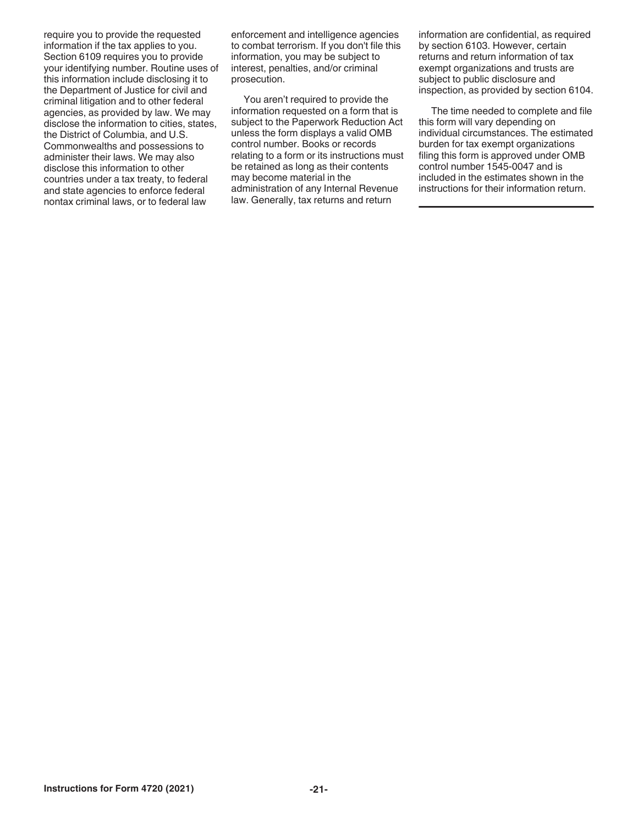require you to provide the requested information if the tax applies to you. Section 6109 requires you to provide your identifying number. Routine uses of this information include disclosing it to the Department of Justice for civil and criminal litigation and to other federal agencies, as provided by law. We may disclose the information to cities, states, the District of Columbia, and U.S. Commonwealths and possessions to administer their laws. We may also disclose this information to other countries under a tax treaty, to federal and state agencies to enforce federal nontax criminal laws, or to federal law

enforcement and intelligence agencies to combat terrorism. If you don't file this information, you may be subject to interest, penalties, and/or criminal prosecution.

You aren't required to provide the information requested on a form that is subject to the Paperwork Reduction Act unless the form displays a valid OMB control number. Books or records relating to a form or its instructions must be retained as long as their contents may become material in the administration of any Internal Revenue law. Generally, tax returns and return

information are confidential, as required by section 6103. However, certain returns and return information of tax exempt organizations and trusts are subject to public disclosure and inspection, as provided by section 6104.

The time needed to complete and file this form will vary depending on individual circumstances. The estimated burden for tax exempt organizations filing this form is approved under OMB control number 1545-0047 and is included in the estimates shown in the instructions for their information return.